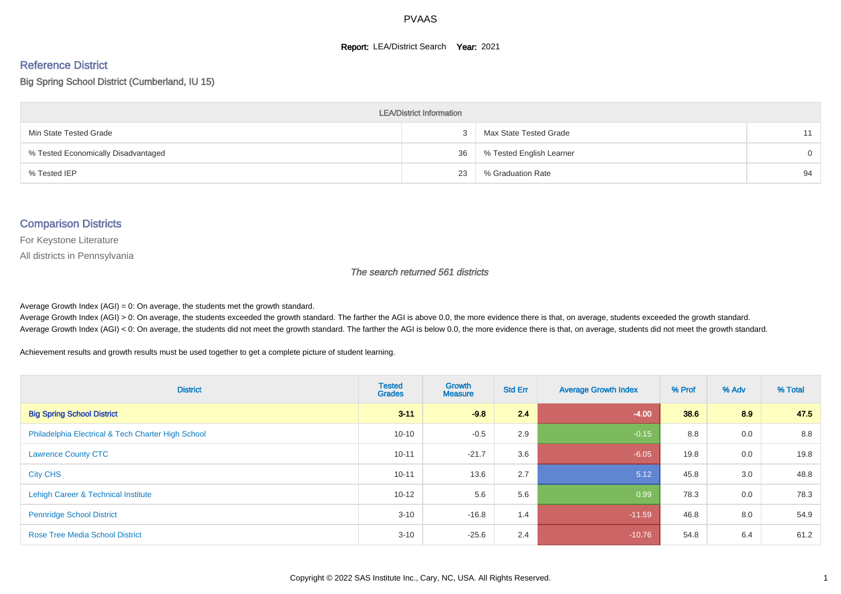#### **Report: LEA/District Search Year: 2021**

# Reference District

Big Spring School District (Cumberland, IU 15)

| <b>LEA/District Information</b>     |    |                          |          |  |  |  |  |  |  |
|-------------------------------------|----|--------------------------|----------|--|--|--|--|--|--|
| Min State Tested Grade              |    | Max State Tested Grade   | 11       |  |  |  |  |  |  |
| % Tested Economically Disadvantaged | 36 | % Tested English Learner | $\Omega$ |  |  |  |  |  |  |
| % Tested IEP                        | 23 | % Graduation Rate        | 94       |  |  |  |  |  |  |

#### Comparison Districts

For Keystone Literature

All districts in Pennsylvania

The search returned 561 districts

Average Growth Index  $(AGI) = 0$ : On average, the students met the growth standard.

Average Growth Index (AGI) > 0: On average, the students exceeded the growth standard. The farther the AGI is above 0.0, the more evidence there is that, on average, students exceeded the growth standard. Average Growth Index (AGI) < 0: On average, the students did not meet the growth standard. The farther the AGI is below 0.0, the more evidence there is that, on average, students did not meet the growth standard.

Achievement results and growth results must be used together to get a complete picture of student learning.

| <b>District</b>                                    | <b>Tested</b><br><b>Grades</b> | <b>Growth</b><br><b>Measure</b> | <b>Std Err</b> | <b>Average Growth Index</b> | % Prof | % Adv | % Total |
|----------------------------------------------------|--------------------------------|---------------------------------|----------------|-----------------------------|--------|-------|---------|
| <b>Big Spring School District</b>                  | $3 - 11$                       | $-9.8$                          | 2.4            | $-4.00$                     | 38.6   | 8.9   | 47.5    |
| Philadelphia Electrical & Tech Charter High School | $10 - 10$                      | $-0.5$                          | 2.9            | $-0.15$                     | 8.8    | 0.0   | 8.8     |
| <b>Lawrence County CTC</b>                         | $10 - 11$                      | $-21.7$                         | 3.6            | $-6.05$                     | 19.8   | 0.0   | 19.8    |
| <b>City CHS</b>                                    | $10 - 11$                      | 13.6                            | 2.7            | 5.12                        | 45.8   | 3.0   | 48.8    |
| Lehigh Career & Technical Institute                | $10 - 12$                      | 5.6                             | 5.6            | 0.99                        | 78.3   | 0.0   | 78.3    |
| <b>Pennridge School District</b>                   | $3 - 10$                       | $-16.8$                         | 1.4            | $-11.59$                    | 46.8   | 8.0   | 54.9    |
| <b>Rose Tree Media School District</b>             | $3 - 10$                       | $-25.6$                         | 2.4            | $-10.76$                    | 54.8   | 6.4   | 61.2    |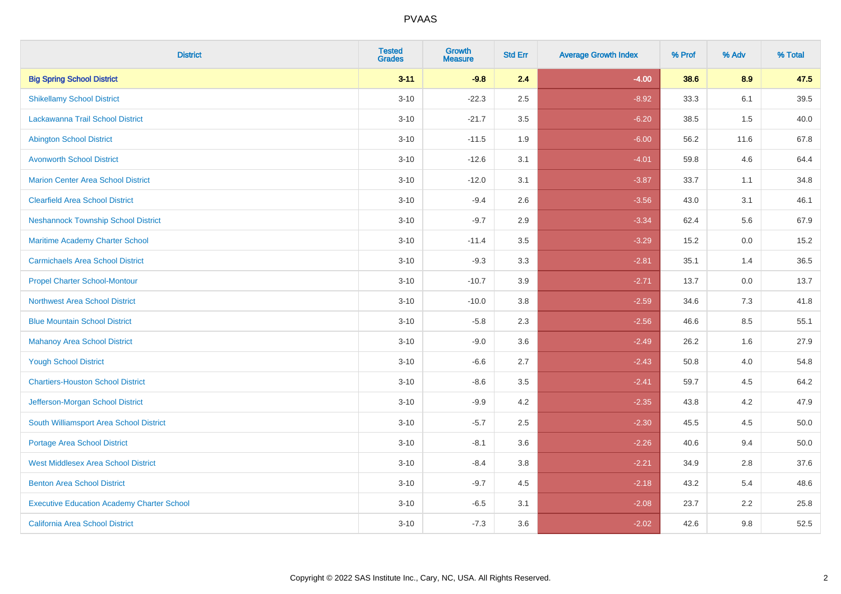| <b>District</b>                                   | <b>Tested</b><br><b>Grades</b> | Growth<br><b>Measure</b> | <b>Std Err</b> | <b>Average Growth Index</b> | % Prof | % Adv | % Total |
|---------------------------------------------------|--------------------------------|--------------------------|----------------|-----------------------------|--------|-------|---------|
| <b>Big Spring School District</b>                 | $3 - 11$                       | $-9.8$                   | 2.4            | $-4.00$                     | 38.6   | 8.9   | 47.5    |
| <b>Shikellamy School District</b>                 | $3 - 10$                       | $-22.3$                  | 2.5            | $-8.92$                     | 33.3   | 6.1   | 39.5    |
| Lackawanna Trail School District                  | $3 - 10$                       | $-21.7$                  | 3.5            | $-6.20$                     | 38.5   | 1.5   | 40.0    |
| <b>Abington School District</b>                   | $3 - 10$                       | $-11.5$                  | 1.9            | $-6.00$                     | 56.2   | 11.6  | 67.8    |
| <b>Avonworth School District</b>                  | $3 - 10$                       | $-12.6$                  | 3.1            | $-4.01$                     | 59.8   | 4.6   | 64.4    |
| <b>Marion Center Area School District</b>         | $3 - 10$                       | $-12.0$                  | 3.1            | $-3.87$                     | 33.7   | 1.1   | 34.8    |
| <b>Clearfield Area School District</b>            | $3 - 10$                       | $-9.4$                   | 2.6            | $-3.56$                     | 43.0   | 3.1   | 46.1    |
| <b>Neshannock Township School District</b>        | $3 - 10$                       | $-9.7$                   | 2.9            | $-3.34$                     | 62.4   | 5.6   | 67.9    |
| Maritime Academy Charter School                   | $3 - 10$                       | $-11.4$                  | 3.5            | $-3.29$                     | 15.2   | 0.0   | 15.2    |
| <b>Carmichaels Area School District</b>           | $3 - 10$                       | $-9.3$                   | 3.3            | $-2.81$                     | 35.1   | 1.4   | 36.5    |
| <b>Propel Charter School-Montour</b>              | $3 - 10$                       | $-10.7$                  | 3.9            | $-2.71$                     | 13.7   | 0.0   | 13.7    |
| <b>Northwest Area School District</b>             | $3 - 10$                       | $-10.0$                  | 3.8            | $-2.59$                     | 34.6   | 7.3   | 41.8    |
| <b>Blue Mountain School District</b>              | $3 - 10$                       | $-5.8$                   | 2.3            | $-2.56$                     | 46.6   | 8.5   | 55.1    |
| <b>Mahanoy Area School District</b>               | $3 - 10$                       | $-9.0$                   | 3.6            | $-2.49$                     | 26.2   | 1.6   | 27.9    |
| <b>Yough School District</b>                      | $3 - 10$                       | $-6.6$                   | 2.7            | $-2.43$                     | 50.8   | 4.0   | 54.8    |
| <b>Chartiers-Houston School District</b>          | $3 - 10$                       | $-8.6$                   | 3.5            | $-2.41$                     | 59.7   | 4.5   | 64.2    |
| Jefferson-Morgan School District                  | $3 - 10$                       | $-9.9$                   | 4.2            | $-2.35$                     | 43.8   | 4.2   | 47.9    |
| South Williamsport Area School District           | $3 - 10$                       | $-5.7$                   | 2.5            | $-2.30$                     | 45.5   | 4.5   | 50.0    |
| <b>Portage Area School District</b>               | $3 - 10$                       | $-8.1$                   | 3.6            | $-2.26$                     | 40.6   | 9.4   | 50.0    |
| <b>West Middlesex Area School District</b>        | $3 - 10$                       | $-8.4$                   | 3.8            | $-2.21$                     | 34.9   | 2.8   | 37.6    |
| <b>Benton Area School District</b>                | $3 - 10$                       | $-9.7$                   | 4.5            | $-2.18$                     | 43.2   | 5.4   | 48.6    |
| <b>Executive Education Academy Charter School</b> | $3 - 10$                       | $-6.5$                   | 3.1            | $-2.08$                     | 23.7   | 2.2   | 25.8    |
| <b>California Area School District</b>            | $3 - 10$                       | $-7.3$                   | 3.6            | $-2.02$                     | 42.6   | 9.8   | 52.5    |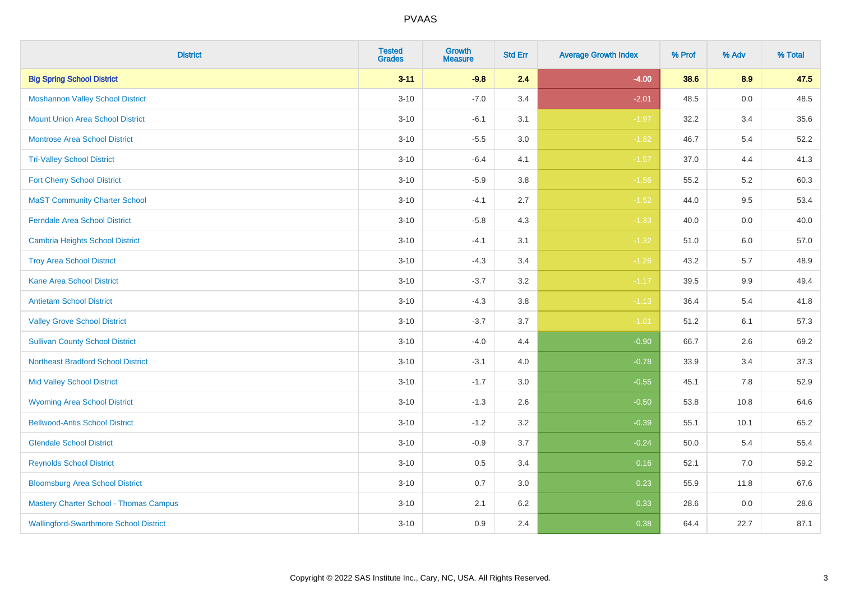| <b>District</b>                               | <b>Tested</b><br><b>Grades</b> | Growth<br><b>Measure</b> | <b>Std Err</b> | <b>Average Growth Index</b> | % Prof | % Adv   | % Total |
|-----------------------------------------------|--------------------------------|--------------------------|----------------|-----------------------------|--------|---------|---------|
| <b>Big Spring School District</b>             | $3 - 11$                       | $-9.8$                   | 2.4            | $-4.00$                     | 38.6   | 8.9     | 47.5    |
| <b>Moshannon Valley School District</b>       | $3 - 10$                       | $-7.0$                   | 3.4            | $-2.01$                     | 48.5   | $0.0\,$ | 48.5    |
| <b>Mount Union Area School District</b>       | $3 - 10$                       | $-6.1$                   | 3.1            | $-1.97$                     | 32.2   | 3.4     | 35.6    |
| Montrose Area School District                 | $3 - 10$                       | $-5.5$                   | 3.0            | $-1.82$                     | 46.7   | $5.4$   | 52.2    |
| <b>Tri-Valley School District</b>             | $3 - 10$                       | $-6.4$                   | 4.1            | $-1.57$                     | 37.0   | 4.4     | 41.3    |
| <b>Fort Cherry School District</b>            | $3 - 10$                       | $-5.9$                   | 3.8            | $-1.56$                     | 55.2   | 5.2     | 60.3    |
| <b>MaST Community Charter School</b>          | $3 - 10$                       | $-4.1$                   | 2.7            | $-1.52$                     | 44.0   | 9.5     | 53.4    |
| <b>Ferndale Area School District</b>          | $3 - 10$                       | $-5.8$                   | 4.3            | $-1.33$                     | 40.0   | 0.0     | 40.0    |
| Cambria Heights School District               | $3 - 10$                       | $-4.1$                   | 3.1            | $-1.32$                     | 51.0   | 6.0     | 57.0    |
| <b>Troy Area School District</b>              | $3 - 10$                       | $-4.3$                   | 3.4            | $-1.26$                     | 43.2   | 5.7     | 48.9    |
| <b>Kane Area School District</b>              | $3 - 10$                       | $-3.7$                   | 3.2            | $-1.17$                     | 39.5   | 9.9     | 49.4    |
| <b>Antietam School District</b>               | $3 - 10$                       | $-4.3$                   | 3.8            | $-1.13$                     | 36.4   | 5.4     | 41.8    |
| <b>Valley Grove School District</b>           | $3 - 10$                       | $-3.7$                   | 3.7            | $-1.01$                     | 51.2   | 6.1     | 57.3    |
| <b>Sullivan County School District</b>        | $3 - 10$                       | $-4.0$                   | 4.4            | $-0.90$                     | 66.7   | 2.6     | 69.2    |
| <b>Northeast Bradford School District</b>     | $3 - 10$                       | $-3.1$                   | 4.0            | $-0.78$                     | 33.9   | 3.4     | 37.3    |
| <b>Mid Valley School District</b>             | $3 - 10$                       | $-1.7$                   | 3.0            | $-0.55$                     | 45.1   | 7.8     | 52.9    |
| <b>Wyoming Area School District</b>           | $3 - 10$                       | $-1.3$                   | 2.6            | $-0.50$                     | 53.8   | 10.8    | 64.6    |
| <b>Bellwood-Antis School District</b>         | $3 - 10$                       | $-1.2$                   | 3.2            | $-0.39$                     | 55.1   | 10.1    | 65.2    |
| <b>Glendale School District</b>               | $3 - 10$                       | $-0.9$                   | 3.7            | $-0.24$                     | 50.0   | 5.4     | 55.4    |
| <b>Reynolds School District</b>               | $3 - 10$                       | 0.5                      | 3.4            | 0.16                        | 52.1   | 7.0     | 59.2    |
| <b>Bloomsburg Area School District</b>        | $3 - 10$                       | 0.7                      | 3.0            | 0.23                        | 55.9   | 11.8    | 67.6    |
| <b>Mastery Charter School - Thomas Campus</b> | $3 - 10$                       | 2.1                      | 6.2            | 0.33                        | 28.6   | 0.0     | 28.6    |
| <b>Wallingford-Swarthmore School District</b> | $3 - 10$                       | 0.9                      | 2.4            | 0.38                        | 64.4   | 22.7    | 87.1    |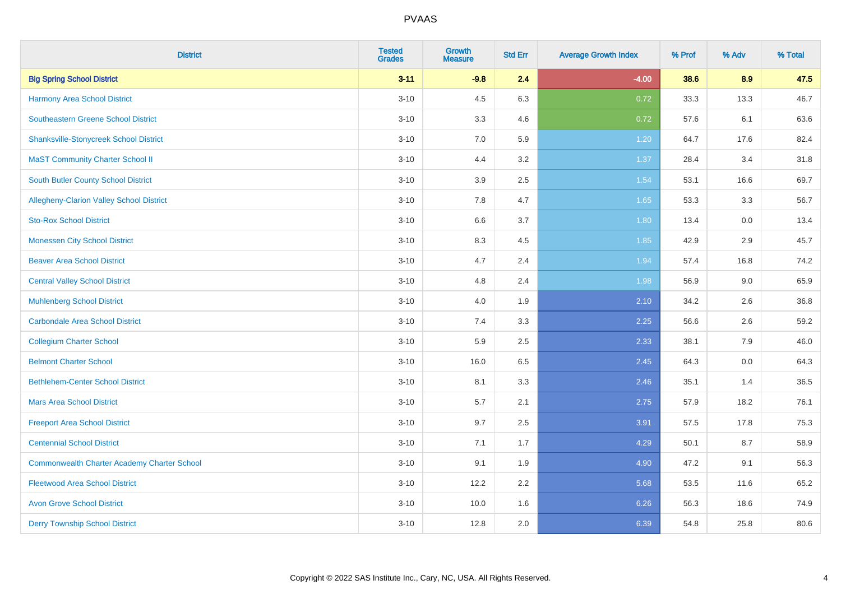| <b>District</b>                                    | <b>Tested</b><br><b>Grades</b> | <b>Growth</b><br><b>Measure</b> | <b>Std Err</b> | <b>Average Growth Index</b> | % Prof | % Adv | % Total |
|----------------------------------------------------|--------------------------------|---------------------------------|----------------|-----------------------------|--------|-------|---------|
| <b>Big Spring School District</b>                  | $3 - 11$                       | $-9.8$                          | 2.4            | $-4.00$                     | 38.6   | 8.9   | 47.5    |
| <b>Harmony Area School District</b>                | $3 - 10$                       | 4.5                             | 6.3            | 0.72                        | 33.3   | 13.3  | 46.7    |
| <b>Southeastern Greene School District</b>         | $3 - 10$                       | 3.3                             | 4.6            | 0.72                        | 57.6   | 6.1   | 63.6    |
| <b>Shanksville-Stonycreek School District</b>      | $3 - 10$                       | $7.0\,$                         | 5.9            | 1.20                        | 64.7   | 17.6  | 82.4    |
| <b>MaST Community Charter School II</b>            | $3 - 10$                       | 4.4                             | 3.2            | 1.37                        | 28.4   | 3.4   | 31.8    |
| <b>South Butler County School District</b>         | $3 - 10$                       | 3.9                             | 2.5            | 1.54                        | 53.1   | 16.6  | 69.7    |
| Allegheny-Clarion Valley School District           | $3 - 10$                       | 7.8                             | 4.7            | 1.65                        | 53.3   | 3.3   | 56.7    |
| <b>Sto-Rox School District</b>                     | $3 - 10$                       | 6.6                             | 3.7            | 1.80                        | 13.4   | 0.0   | 13.4    |
| <b>Monessen City School District</b>               | $3 - 10$                       | 8.3                             | 4.5            | 1.85                        | 42.9   | 2.9   | 45.7    |
| <b>Beaver Area School District</b>                 | $3 - 10$                       | 4.7                             | 2.4            | 1.94                        | 57.4   | 16.8  | 74.2    |
| <b>Central Valley School District</b>              | $3 - 10$                       | 4.8                             | 2.4            | 1.98                        | 56.9   | 9.0   | 65.9    |
| <b>Muhlenberg School District</b>                  | $3 - 10$                       | 4.0                             | 1.9            | 2.10                        | 34.2   | 2.6   | 36.8    |
| <b>Carbondale Area School District</b>             | $3 - 10$                       | 7.4                             | 3.3            | 2.25                        | 56.6   | 2.6   | 59.2    |
| <b>Collegium Charter School</b>                    | $3 - 10$                       | 5.9                             | 2.5            | 2.33                        | 38.1   | 7.9   | 46.0    |
| <b>Belmont Charter School</b>                      | $3 - 10$                       | 16.0                            | 6.5            | 2.45                        | 64.3   | 0.0   | 64.3    |
| <b>Bethlehem-Center School District</b>            | $3 - 10$                       | 8.1                             | 3.3            | 2.46                        | 35.1   | 1.4   | 36.5    |
| <b>Mars Area School District</b>                   | $3 - 10$                       | 5.7                             | 2.1            | 2.75                        | 57.9   | 18.2  | 76.1    |
| <b>Freeport Area School District</b>               | $3 - 10$                       | 9.7                             | 2.5            | 3.91                        | 57.5   | 17.8  | 75.3    |
| <b>Centennial School District</b>                  | $3 - 10$                       | 7.1                             | 1.7            | 4.29                        | 50.1   | 8.7   | 58.9    |
| <b>Commonwealth Charter Academy Charter School</b> | $3 - 10$                       | 9.1                             | 1.9            | 4.90                        | 47.2   | 9.1   | 56.3    |
| <b>Fleetwood Area School District</b>              | $3 - 10$                       | 12.2                            | 2.2            | 5.68                        | 53.5   | 11.6  | 65.2    |
| <b>Avon Grove School District</b>                  | $3 - 10$                       | 10.0                            | 1.6            | 6.26                        | 56.3   | 18.6  | 74.9    |
| <b>Derry Township School District</b>              | $3 - 10$                       | 12.8                            | 2.0            | 6.39                        | 54.8   | 25.8  | 80.6    |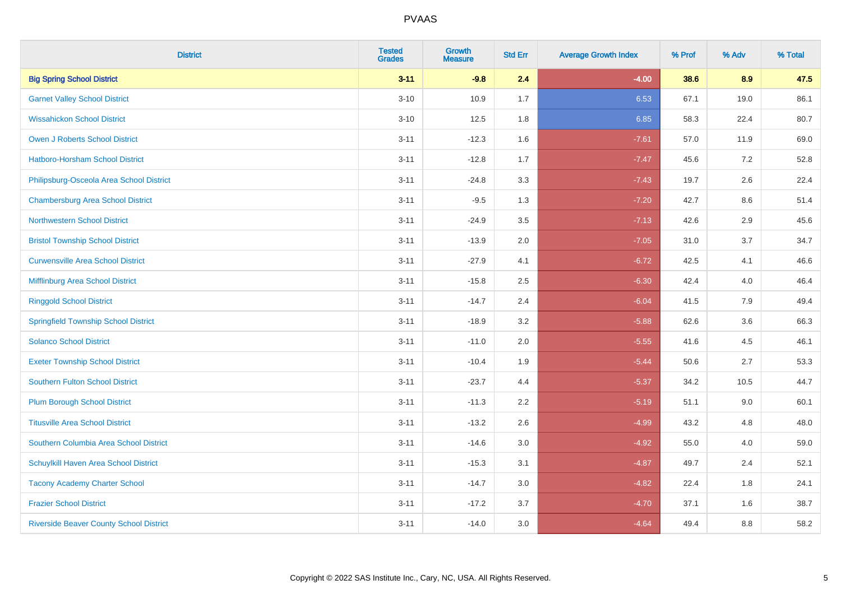| <b>District</b>                                | <b>Tested</b><br><b>Grades</b> | Growth<br><b>Measure</b> | <b>Std Err</b> | <b>Average Growth Index</b> | % Prof | % Adv   | % Total |
|------------------------------------------------|--------------------------------|--------------------------|----------------|-----------------------------|--------|---------|---------|
| <b>Big Spring School District</b>              | $3 - 11$                       | $-9.8$                   | 2.4            | $-4.00$                     | 38.6   | 8.9     | 47.5    |
| <b>Garnet Valley School District</b>           | $3 - 10$                       | 10.9                     | 1.7            | 6.53                        | 67.1   | 19.0    | 86.1    |
| <b>Wissahickon School District</b>             | $3 - 10$                       | 12.5                     | 1.8            | 6.85                        | 58.3   | 22.4    | 80.7    |
| Owen J Roberts School District                 | $3 - 11$                       | $-12.3$                  | 1.6            | $-7.61$                     | 57.0   | 11.9    | 69.0    |
| <b>Hatboro-Horsham School District</b>         | $3 - 11$                       | $-12.8$                  | 1.7            | $-7.47$                     | 45.6   | 7.2     | 52.8    |
| Philipsburg-Osceola Area School District       | $3 - 11$                       | $-24.8$                  | 3.3            | $-7.43$                     | 19.7   | 2.6     | 22.4    |
| <b>Chambersburg Area School District</b>       | $3 - 11$                       | $-9.5$                   | 1.3            | $-7.20$                     | 42.7   | $8.6\,$ | 51.4    |
| <b>Northwestern School District</b>            | $3 - 11$                       | $-24.9$                  | 3.5            | $-7.13$                     | 42.6   | 2.9     | 45.6    |
| <b>Bristol Township School District</b>        | $3 - 11$                       | $-13.9$                  | 2.0            | $-7.05$                     | 31.0   | 3.7     | 34.7    |
| <b>Curwensville Area School District</b>       | $3 - 11$                       | $-27.9$                  | 4.1            | $-6.72$                     | 42.5   | 4.1     | 46.6    |
| Mifflinburg Area School District               | $3 - 11$                       | $-15.8$                  | 2.5            | $-6.30$                     | 42.4   | 4.0     | 46.4    |
| <b>Ringgold School District</b>                | $3 - 11$                       | $-14.7$                  | 2.4            | $-6.04$                     | 41.5   | 7.9     | 49.4    |
| <b>Springfield Township School District</b>    | $3 - 11$                       | $-18.9$                  | 3.2            | $-5.88$                     | 62.6   | 3.6     | 66.3    |
| <b>Solanco School District</b>                 | $3 - 11$                       | $-11.0$                  | 2.0            | $-5.55$                     | 41.6   | 4.5     | 46.1    |
| <b>Exeter Township School District</b>         | $3 - 11$                       | $-10.4$                  | 1.9            | $-5.44$                     | 50.6   | 2.7     | 53.3    |
| <b>Southern Fulton School District</b>         | $3 - 11$                       | $-23.7$                  | 4.4            | $-5.37$                     | 34.2   | 10.5    | 44.7    |
| <b>Plum Borough School District</b>            | $3 - 11$                       | $-11.3$                  | 2.2            | $-5.19$                     | 51.1   | 9.0     | 60.1    |
| <b>Titusville Area School District</b>         | $3 - 11$                       | $-13.2$                  | 2.6            | $-4.99$                     | 43.2   | 4.8     | 48.0    |
| Southern Columbia Area School District         | $3 - 11$                       | $-14.6$                  | 3.0            | $-4.92$                     | 55.0   | 4.0     | 59.0    |
| Schuylkill Haven Area School District          | $3 - 11$                       | $-15.3$                  | 3.1            | $-4.87$                     | 49.7   | 2.4     | 52.1    |
| <b>Tacony Academy Charter School</b>           | $3 - 11$                       | $-14.7$                  | 3.0            | $-4.82$                     | 22.4   | 1.8     | 24.1    |
| <b>Frazier School District</b>                 | $3 - 11$                       | $-17.2$                  | 3.7            | $-4.70$                     | 37.1   | 1.6     | 38.7    |
| <b>Riverside Beaver County School District</b> | $3 - 11$                       | $-14.0$                  | 3.0            | $-4.64$                     | 49.4   | 8.8     | 58.2    |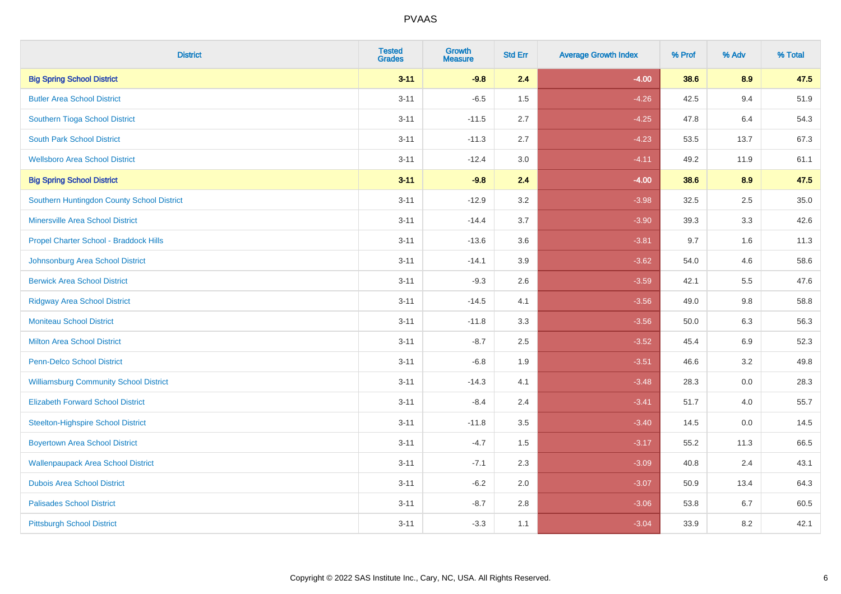| <b>District</b>                               | <b>Tested</b><br><b>Grades</b> | <b>Growth</b><br><b>Measure</b> | <b>Std Err</b> | <b>Average Growth Index</b> | % Prof | % Adv | % Total |
|-----------------------------------------------|--------------------------------|---------------------------------|----------------|-----------------------------|--------|-------|---------|
| <b>Big Spring School District</b>             | $3 - 11$                       | $-9.8$                          | 2.4            | $-4.00$                     | 38.6   | 8.9   | 47.5    |
| <b>Butler Area School District</b>            | $3 - 11$                       | $-6.5$                          | 1.5            | $-4.26$                     | 42.5   | 9.4   | 51.9    |
| Southern Tioga School District                | $3 - 11$                       | $-11.5$                         | 2.7            | $-4.25$                     | 47.8   | 6.4   | 54.3    |
| <b>South Park School District</b>             | $3 - 11$                       | $-11.3$                         | 2.7            | $-4.23$                     | 53.5   | 13.7  | 67.3    |
| <b>Wellsboro Area School District</b>         | $3 - 11$                       | $-12.4$                         | 3.0            | $-4.11$                     | 49.2   | 11.9  | 61.1    |
| <b>Big Spring School District</b>             | $3 - 11$                       | $-9.8$                          | 2.4            | $-4.00$                     | 38.6   | 8.9   | 47.5    |
| Southern Huntingdon County School District    | $3 - 11$                       | $-12.9$                         | 3.2            | $-3.98$                     | 32.5   | 2.5   | 35.0    |
| <b>Minersville Area School District</b>       | $3 - 11$                       | $-14.4$                         | 3.7            | $-3.90$                     | 39.3   | 3.3   | 42.6    |
| Propel Charter School - Braddock Hills        | $3 - 11$                       | $-13.6$                         | 3.6            | $-3.81$                     | 9.7    | 1.6   | 11.3    |
| Johnsonburg Area School District              | $3 - 11$                       | $-14.1$                         | 3.9            | $-3.62$                     | 54.0   | 4.6   | 58.6    |
| <b>Berwick Area School District</b>           | $3 - 11$                       | $-9.3$                          | 2.6            | $-3.59$                     | 42.1   | 5.5   | 47.6    |
| <b>Ridgway Area School District</b>           | $3 - 11$                       | $-14.5$                         | 4.1            | $-3.56$                     | 49.0   | 9.8   | 58.8    |
| <b>Moniteau School District</b>               | $3 - 11$                       | $-11.8$                         | 3.3            | $-3.56$                     | 50.0   | 6.3   | 56.3    |
| <b>Milton Area School District</b>            | $3 - 11$                       | $-8.7$                          | 2.5            | $-3.52$                     | 45.4   | 6.9   | 52.3    |
| <b>Penn-Delco School District</b>             | $3 - 11$                       | $-6.8$                          | 1.9            | $-3.51$                     | 46.6   | 3.2   | 49.8    |
| <b>Williamsburg Community School District</b> | $3 - 11$                       | $-14.3$                         | 4.1            | $-3.48$                     | 28.3   | 0.0   | 28.3    |
| <b>Elizabeth Forward School District</b>      | $3 - 11$                       | $-8.4$                          | 2.4            | $-3.41$                     | 51.7   | 4.0   | 55.7    |
| <b>Steelton-Highspire School District</b>     | $3 - 11$                       | $-11.8$                         | 3.5            | $-3.40$                     | 14.5   | 0.0   | 14.5    |
| <b>Boyertown Area School District</b>         | $3 - 11$                       | $-4.7$                          | 1.5            | $-3.17$                     | 55.2   | 11.3  | 66.5    |
| <b>Wallenpaupack Area School District</b>     | $3 - 11$                       | $-7.1$                          | 2.3            | $-3.09$                     | 40.8   | 2.4   | 43.1    |
| <b>Dubois Area School District</b>            | $3 - 11$                       | $-6.2$                          | 2.0            | $-3.07$                     | 50.9   | 13.4  | 64.3    |
| <b>Palisades School District</b>              | $3 - 11$                       | $-8.7$                          | 2.8            | $-3.06$                     | 53.8   | 6.7   | 60.5    |
| <b>Pittsburgh School District</b>             | $3 - 11$                       | $-3.3$                          | 1.1            | $-3.04$                     | 33.9   | 8.2   | 42.1    |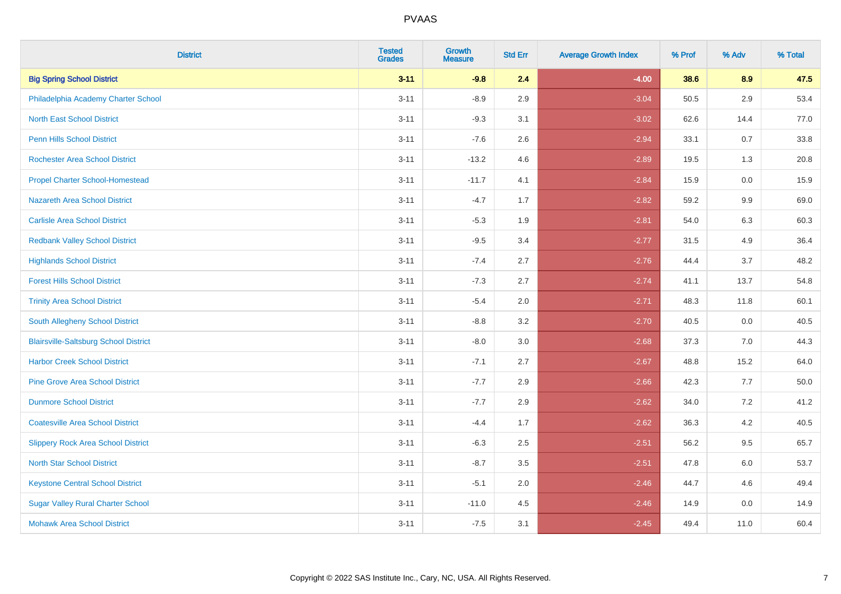| <b>District</b>                              | <b>Tested</b><br><b>Grades</b> | Growth<br><b>Measure</b> | <b>Std Err</b> | <b>Average Growth Index</b> | % Prof | % Adv   | % Total |
|----------------------------------------------|--------------------------------|--------------------------|----------------|-----------------------------|--------|---------|---------|
| <b>Big Spring School District</b>            | $3 - 11$                       | $-9.8$                   | 2.4            | $-4.00$                     | 38.6   | 8.9     | 47.5    |
| Philadelphia Academy Charter School          | $3 - 11$                       | $-8.9$                   | 2.9            | $-3.04$                     | 50.5   | 2.9     | 53.4    |
| <b>North East School District</b>            | $3 - 11$                       | $-9.3$                   | 3.1            | $-3.02$                     | 62.6   | 14.4    | 77.0    |
| Penn Hills School District                   | $3 - 11$                       | $-7.6$                   | 2.6            | $-2.94$                     | 33.1   | 0.7     | 33.8    |
| <b>Rochester Area School District</b>        | $3 - 11$                       | $-13.2$                  | 4.6            | $-2.89$                     | 19.5   | 1.3     | 20.8    |
| <b>Propel Charter School-Homestead</b>       | $3 - 11$                       | $-11.7$                  | 4.1            | $-2.84$                     | 15.9   | 0.0     | 15.9    |
| Nazareth Area School District                | $3 - 11$                       | $-4.7$                   | 1.7            | $-2.82$                     | 59.2   | $9.9\,$ | 69.0    |
| <b>Carlisle Area School District</b>         | $3 - 11$                       | $-5.3$                   | 1.9            | $-2.81$                     | 54.0   | 6.3     | 60.3    |
| <b>Redbank Valley School District</b>        | $3 - 11$                       | $-9.5$                   | 3.4            | $-2.77$                     | 31.5   | 4.9     | 36.4    |
| <b>Highlands School District</b>             | $3 - 11$                       | $-7.4$                   | 2.7            | $-2.76$                     | 44.4   | 3.7     | 48.2    |
| <b>Forest Hills School District</b>          | $3 - 11$                       | $-7.3$                   | 2.7            | $-2.74$                     | 41.1   | 13.7    | 54.8    |
| <b>Trinity Area School District</b>          | $3 - 11$                       | $-5.4$                   | 2.0            | $-2.71$                     | 48.3   | 11.8    | 60.1    |
| South Allegheny School District              | $3 - 11$                       | $-8.8$                   | 3.2            | $-2.70$                     | 40.5   | 0.0     | 40.5    |
| <b>Blairsville-Saltsburg School District</b> | $3 - 11$                       | $-8.0$                   | 3.0            | $-2.68$                     | 37.3   | 7.0     | 44.3    |
| <b>Harbor Creek School District</b>          | $3 - 11$                       | $-7.1$                   | 2.7            | $-2.67$                     | 48.8   | 15.2    | 64.0    |
| <b>Pine Grove Area School District</b>       | $3 - 11$                       | $-7.7$                   | 2.9            | $-2.66$                     | 42.3   | 7.7     | 50.0    |
| <b>Dunmore School District</b>               | $3 - 11$                       | $-7.7$                   | 2.9            | $-2.62$                     | 34.0   | 7.2     | 41.2    |
| <b>Coatesville Area School District</b>      | $3 - 11$                       | $-4.4$                   | 1.7            | $-2.62$                     | 36.3   | 4.2     | 40.5    |
| <b>Slippery Rock Area School District</b>    | $3 - 11$                       | $-6.3$                   | 2.5            | $-2.51$                     | 56.2   | 9.5     | 65.7    |
| <b>North Star School District</b>            | $3 - 11$                       | $-8.7$                   | 3.5            | $-2.51$                     | 47.8   | 6.0     | 53.7    |
| <b>Keystone Central School District</b>      | $3 - 11$                       | $-5.1$                   | 2.0            | $-2.46$                     | 44.7   | 4.6     | 49.4    |
| <b>Sugar Valley Rural Charter School</b>     | $3 - 11$                       | $-11.0$                  | 4.5            | $-2.46$                     | 14.9   | 0.0     | 14.9    |
| <b>Mohawk Area School District</b>           | $3 - 11$                       | $-7.5$                   | 3.1            | $-2.45$                     | 49.4   | 11.0    | 60.4    |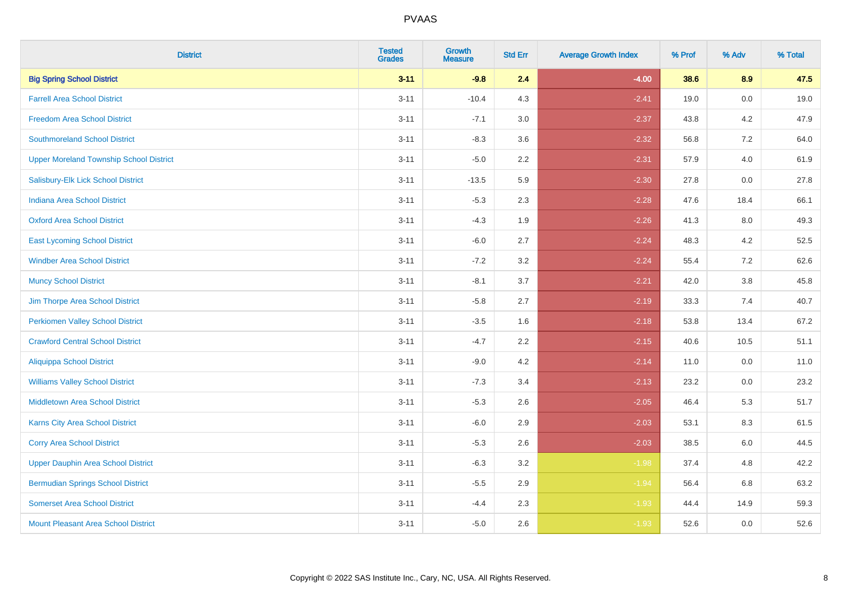| <b>District</b>                                | <b>Tested</b><br><b>Grades</b> | Growth<br><b>Measure</b> | <b>Std Err</b> | <b>Average Growth Index</b> | % Prof | % Adv   | % Total |
|------------------------------------------------|--------------------------------|--------------------------|----------------|-----------------------------|--------|---------|---------|
| <b>Big Spring School District</b>              | $3 - 11$                       | $-9.8$                   | 2.4            | $-4.00$                     | 38.6   | 8.9     | 47.5    |
| <b>Farrell Area School District</b>            | $3 - 11$                       | $-10.4$                  | 4.3            | $-2.41$                     | 19.0   | 0.0     | 19.0    |
| <b>Freedom Area School District</b>            | $3 - 11$                       | $-7.1$                   | 3.0            | $-2.37$                     | 43.8   | 4.2     | 47.9    |
| <b>Southmoreland School District</b>           | $3 - 11$                       | $-8.3$                   | 3.6            | $-2.32$                     | 56.8   | $7.2\,$ | 64.0    |
| <b>Upper Moreland Township School District</b> | $3 - 11$                       | $-5.0$                   | 2.2            | $-2.31$                     | 57.9   | 4.0     | 61.9    |
| Salisbury-Elk Lick School District             | $3 - 11$                       | $-13.5$                  | 5.9            | $-2.30$                     | 27.8   | 0.0     | 27.8    |
| <b>Indiana Area School District</b>            | $3 - 11$                       | $-5.3$                   | 2.3            | $-2.28$                     | 47.6   | 18.4    | 66.1    |
| <b>Oxford Area School District</b>             | $3 - 11$                       | $-4.3$                   | 1.9            | $-2.26$                     | 41.3   | 8.0     | 49.3    |
| <b>East Lycoming School District</b>           | $3 - 11$                       | $-6.0$                   | 2.7            | $-2.24$                     | 48.3   | 4.2     | 52.5    |
| <b>Windber Area School District</b>            | $3 - 11$                       | $-7.2$                   | 3.2            | $-2.24$                     | 55.4   | 7.2     | 62.6    |
| <b>Muncy School District</b>                   | $3 - 11$                       | $-8.1$                   | 3.7            | $-2.21$                     | 42.0   | 3.8     | 45.8    |
| Jim Thorpe Area School District                | $3 - 11$                       | $-5.8$                   | 2.7            | $-2.19$                     | 33.3   | 7.4     | 40.7    |
| <b>Perkiomen Valley School District</b>        | $3 - 11$                       | $-3.5$                   | 1.6            | $-2.18$                     | 53.8   | 13.4    | 67.2    |
| <b>Crawford Central School District</b>        | $3 - 11$                       | $-4.7$                   | 2.2            | $-2.15$                     | 40.6   | 10.5    | 51.1    |
| <b>Aliquippa School District</b>               | $3 - 11$                       | $-9.0$                   | 4.2            | $-2.14$                     | 11.0   | 0.0     | 11.0    |
| <b>Williams Valley School District</b>         | $3 - 11$                       | $-7.3$                   | 3.4            | $-2.13$                     | 23.2   | 0.0     | 23.2    |
| <b>Middletown Area School District</b>         | $3 - 11$                       | $-5.3$                   | 2.6            | $-2.05$                     | 46.4   | 5.3     | 51.7    |
| <b>Karns City Area School District</b>         | $3 - 11$                       | $-6.0$                   | 2.9            | $-2.03$                     | 53.1   | 8.3     | 61.5    |
| <b>Corry Area School District</b>              | $3 - 11$                       | $-5.3$                   | 2.6            | $-2.03$                     | 38.5   | 6.0     | 44.5    |
| <b>Upper Dauphin Area School District</b>      | $3 - 11$                       | $-6.3$                   | 3.2            | $-1.98$                     | 37.4   | 4.8     | 42.2    |
| <b>Bermudian Springs School District</b>       | $3 - 11$                       | $-5.5$                   | 2.9            | $-1.94$                     | 56.4   | 6.8     | 63.2    |
| <b>Somerset Area School District</b>           | $3 - 11$                       | $-4.4$                   | 2.3            | $-1.93$                     | 44.4   | 14.9    | 59.3    |
| <b>Mount Pleasant Area School District</b>     | $3 - 11$                       | $-5.0$                   | 2.6            | $-1.93$                     | 52.6   | 0.0     | 52.6    |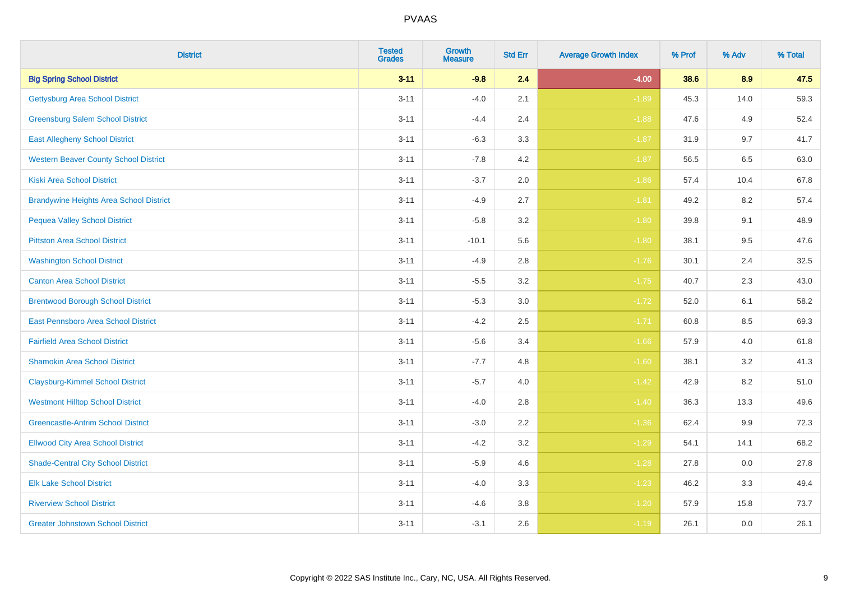| <b>District</b>                                | <b>Tested</b><br><b>Grades</b> | Growth<br><b>Measure</b> | <b>Std Err</b> | <b>Average Growth Index</b> | % Prof | % Adv | % Total |
|------------------------------------------------|--------------------------------|--------------------------|----------------|-----------------------------|--------|-------|---------|
| <b>Big Spring School District</b>              | $3 - 11$                       | $-9.8$                   | 2.4            | $-4.00$                     | 38.6   | 8.9   | 47.5    |
| <b>Gettysburg Area School District</b>         | $3 - 11$                       | $-4.0$                   | 2.1            | $-1.89$                     | 45.3   | 14.0  | 59.3    |
| <b>Greensburg Salem School District</b>        | $3 - 11$                       | $-4.4$                   | 2.4            | $-1.88$                     | 47.6   | 4.9   | 52.4    |
| <b>East Allegheny School District</b>          | $3 - 11$                       | $-6.3$                   | 3.3            | $-1.87$                     | 31.9   | 9.7   | 41.7    |
| <b>Western Beaver County School District</b>   | $3 - 11$                       | $-7.8$                   | 4.2            | $-1.87$                     | 56.5   | 6.5   | 63.0    |
| <b>Kiski Area School District</b>              | $3 - 11$                       | $-3.7$                   | 2.0            | $-1.86$                     | 57.4   | 10.4  | 67.8    |
| <b>Brandywine Heights Area School District</b> | $3 - 11$                       | $-4.9$                   | 2.7            | $-1.81$                     | 49.2   | 8.2   | 57.4    |
| <b>Pequea Valley School District</b>           | $3 - 11$                       | $-5.8$                   | 3.2            | $-1.80$                     | 39.8   | 9.1   | 48.9    |
| <b>Pittston Area School District</b>           | $3 - 11$                       | $-10.1$                  | 5.6            | $-1.80$                     | 38.1   | 9.5   | 47.6    |
| <b>Washington School District</b>              | $3 - 11$                       | $-4.9$                   | 2.8            | $-1.76$                     | 30.1   | 2.4   | 32.5    |
| <b>Canton Area School District</b>             | $3 - 11$                       | $-5.5$                   | 3.2            | $-1.75$                     | 40.7   | 2.3   | 43.0    |
| <b>Brentwood Borough School District</b>       | $3 - 11$                       | $-5.3$                   | 3.0            | $-1.72$                     | 52.0   | 6.1   | 58.2    |
| East Pennsboro Area School District            | $3 - 11$                       | $-4.2$                   | 2.5            | $-1.71$                     | 60.8   | 8.5   | 69.3    |
| <b>Fairfield Area School District</b>          | $3 - 11$                       | $-5.6$                   | 3.4            | $-1.66$                     | 57.9   | 4.0   | 61.8    |
| <b>Shamokin Area School District</b>           | $3 - 11$                       | $-7.7$                   | 4.8            | $-1.60$                     | 38.1   | 3.2   | 41.3    |
| <b>Claysburg-Kimmel School District</b>        | $3 - 11$                       | $-5.7$                   | 4.0            | $-1.42$                     | 42.9   | 8.2   | 51.0    |
| <b>Westmont Hilltop School District</b>        | $3 - 11$                       | $-4.0$                   | 2.8            | $-1.40$                     | 36.3   | 13.3  | 49.6    |
| <b>Greencastle-Antrim School District</b>      | $3 - 11$                       | $-3.0$                   | 2.2            | $-1.36$                     | 62.4   | 9.9   | 72.3    |
| <b>Ellwood City Area School District</b>       | $3 - 11$                       | $-4.2$                   | 3.2            | $-1.29$                     | 54.1   | 14.1  | 68.2    |
| <b>Shade-Central City School District</b>      | $3 - 11$                       | $-5.9$                   | 4.6            | $-1.28$                     | 27.8   | 0.0   | 27.8    |
| <b>Elk Lake School District</b>                | $3 - 11$                       | $-4.0$                   | 3.3            | $-1.23$                     | 46.2   | 3.3   | 49.4    |
| <b>Riverview School District</b>               | $3 - 11$                       | $-4.6$                   | 3.8            | $-1.20$                     | 57.9   | 15.8  | 73.7    |
| <b>Greater Johnstown School District</b>       | $3 - 11$                       | $-3.1$                   | 2.6            | $-1.19$                     | 26.1   | 0.0   | 26.1    |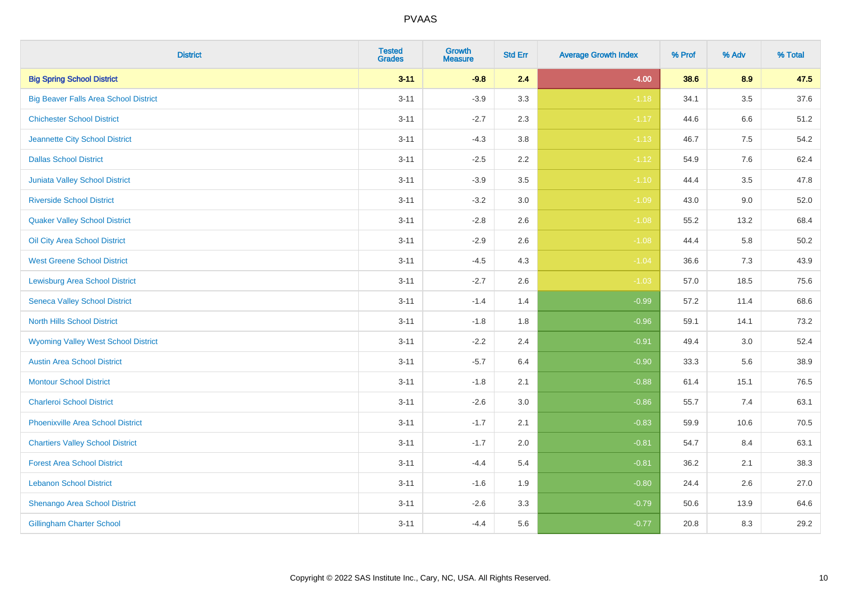| <b>District</b>                              | <b>Tested</b><br><b>Grades</b> | Growth<br><b>Measure</b> | <b>Std Err</b> | <b>Average Growth Index</b> | % Prof | % Adv   | % Total |
|----------------------------------------------|--------------------------------|--------------------------|----------------|-----------------------------|--------|---------|---------|
| <b>Big Spring School District</b>            | $3 - 11$                       | $-9.8$                   | 2.4            | $-4.00$                     | 38.6   | 8.9     | 47.5    |
| <b>Big Beaver Falls Area School District</b> | $3 - 11$                       | $-3.9$                   | 3.3            | $-1.18$                     | 34.1   | 3.5     | 37.6    |
| <b>Chichester School District</b>            | $3 - 11$                       | $-2.7$                   | 2.3            | $-1.17$                     | 44.6   | 6.6     | 51.2    |
| Jeannette City School District               | $3 - 11$                       | $-4.3$                   | 3.8            | $-1.13$                     | 46.7   | $7.5\,$ | 54.2    |
| <b>Dallas School District</b>                | $3 - 11$                       | $-2.5$                   | 2.2            | $-1.12$                     | 54.9   | 7.6     | 62.4    |
| Juniata Valley School District               | $3 - 11$                       | $-3.9$                   | 3.5            | $-1.10$                     | 44.4   | 3.5     | 47.8    |
| <b>Riverside School District</b>             | $3 - 11$                       | $-3.2$                   | 3.0            | $-1.09$                     | 43.0   | $9.0\,$ | 52.0    |
| <b>Quaker Valley School District</b>         | $3 - 11$                       | $-2.8$                   | 2.6            | $-1.08$                     | 55.2   | 13.2    | 68.4    |
| Oil City Area School District                | $3 - 11$                       | $-2.9$                   | 2.6            | $-1.08$                     | 44.4   | 5.8     | 50.2    |
| <b>West Greene School District</b>           | $3 - 11$                       | $-4.5$                   | 4.3            | $-1.04$                     | 36.6   | $7.3$   | 43.9    |
| <b>Lewisburg Area School District</b>        | $3 - 11$                       | $-2.7$                   | 2.6            | $-1.03$                     | 57.0   | 18.5    | 75.6    |
| <b>Seneca Valley School District</b>         | $3 - 11$                       | $-1.4$                   | 1.4            | $-0.99$                     | 57.2   | 11.4    | 68.6    |
| <b>North Hills School District</b>           | $3 - 11$                       | $-1.8$                   | 1.8            | $-0.96$                     | 59.1   | 14.1    | 73.2    |
| <b>Wyoming Valley West School District</b>   | $3 - 11$                       | $-2.2$                   | 2.4            | $-0.91$                     | 49.4   | 3.0     | 52.4    |
| <b>Austin Area School District</b>           | $3 - 11$                       | $-5.7$                   | 6.4            | $-0.90$                     | 33.3   | 5.6     | 38.9    |
| <b>Montour School District</b>               | $3 - 11$                       | $-1.8$                   | 2.1            | $-0.88$                     | 61.4   | 15.1    | 76.5    |
| <b>Charleroi School District</b>             | $3 - 11$                       | $-2.6$                   | 3.0            | $-0.86$                     | 55.7   | 7.4     | 63.1    |
| Phoenixville Area School District            | $3 - 11$                       | $-1.7$                   | 2.1            | $-0.83$                     | 59.9   | 10.6    | 70.5    |
| <b>Chartiers Valley School District</b>      | $3 - 11$                       | $-1.7$                   | 2.0            | $-0.81$                     | 54.7   | 8.4     | 63.1    |
| <b>Forest Area School District</b>           | $3 - 11$                       | $-4.4$                   | 5.4            | $-0.81$                     | 36.2   | 2.1     | 38.3    |
| <b>Lebanon School District</b>               | $3 - 11$                       | $-1.6$                   | 1.9            | $-0.80$                     | 24.4   | 2.6     | 27.0    |
| Shenango Area School District                | $3 - 11$                       | $-2.6$                   | 3.3            | $-0.79$                     | 50.6   | 13.9    | 64.6    |
| <b>Gillingham Charter School</b>             | $3 - 11$                       | $-4.4$                   | 5.6            | $-0.77$                     | 20.8   | 8.3     | 29.2    |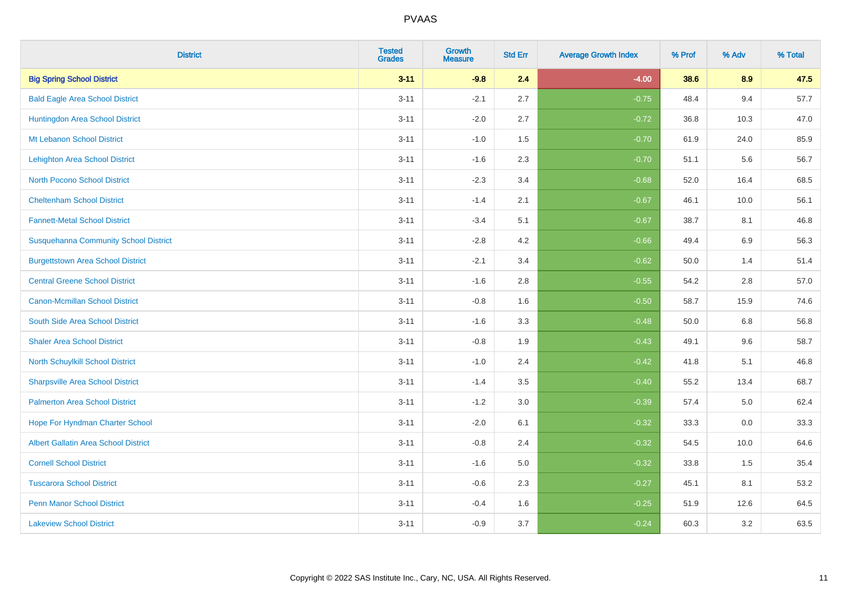| <b>District</b>                              | <b>Tested</b><br><b>Grades</b> | <b>Growth</b><br><b>Measure</b> | <b>Std Err</b> | <b>Average Growth Index</b> | % Prof | % Adv   | % Total |
|----------------------------------------------|--------------------------------|---------------------------------|----------------|-----------------------------|--------|---------|---------|
| <b>Big Spring School District</b>            | $3 - 11$                       | $-9.8$                          | 2.4            | $-4.00$                     | 38.6   | 8.9     | 47.5    |
| <b>Bald Eagle Area School District</b>       | $3 - 11$                       | $-2.1$                          | 2.7            | $-0.75$                     | 48.4   | 9.4     | 57.7    |
| Huntingdon Area School District              | $3 - 11$                       | $-2.0$                          | 2.7            | $-0.72$                     | 36.8   | 10.3    | 47.0    |
| Mt Lebanon School District                   | $3 - 11$                       | $-1.0$                          | 1.5            | $-0.70$                     | 61.9   | 24.0    | 85.9    |
| <b>Lehighton Area School District</b>        | $3 - 11$                       | $-1.6$                          | 2.3            | $-0.70$                     | 51.1   | 5.6     | 56.7    |
| <b>North Pocono School District</b>          | $3 - 11$                       | $-2.3$                          | 3.4            | $-0.68$                     | 52.0   | 16.4    | 68.5    |
| <b>Cheltenham School District</b>            | $3 - 11$                       | $-1.4$                          | 2.1            | $-0.67$                     | 46.1   | 10.0    | 56.1    |
| <b>Fannett-Metal School District</b>         | $3 - 11$                       | $-3.4$                          | 5.1            | $-0.67$                     | 38.7   | 8.1     | 46.8    |
| <b>Susquehanna Community School District</b> | $3 - 11$                       | $-2.8$                          | 4.2            | $-0.66$                     | 49.4   | 6.9     | 56.3    |
| <b>Burgettstown Area School District</b>     | $3 - 11$                       | $-2.1$                          | 3.4            | $-0.62$                     | 50.0   | 1.4     | 51.4    |
| <b>Central Greene School District</b>        | $3 - 11$                       | $-1.6$                          | 2.8            | $-0.55$                     | 54.2   | 2.8     | 57.0    |
| <b>Canon-Mcmillan School District</b>        | $3 - 11$                       | $-0.8$                          | 1.6            | $-0.50$                     | 58.7   | 15.9    | 74.6    |
| South Side Area School District              | $3 - 11$                       | $-1.6$                          | 3.3            | $-0.48$                     | 50.0   | $6.8\,$ | 56.8    |
| <b>Shaler Area School District</b>           | $3 - 11$                       | $-0.8$                          | 1.9            | $-0.43$                     | 49.1   | 9.6     | 58.7    |
| North Schuylkill School District             | $3 - 11$                       | $-1.0$                          | 2.4            | $-0.42$                     | 41.8   | 5.1     | 46.8    |
| <b>Sharpsville Area School District</b>      | $3 - 11$                       | $-1.4$                          | 3.5            | $-0.40$                     | 55.2   | 13.4    | 68.7    |
| <b>Palmerton Area School District</b>        | $3 - 11$                       | $-1.2$                          | $3.0\,$        | $-0.39$                     | 57.4   | 5.0     | 62.4    |
| Hope For Hyndman Charter School              | $3 - 11$                       | $-2.0$                          | 6.1            | $-0.32$                     | 33.3   | 0.0     | 33.3    |
| <b>Albert Gallatin Area School District</b>  | $3 - 11$                       | $-0.8$                          | 2.4            | $-0.32$                     | 54.5   | 10.0    | 64.6    |
| <b>Cornell School District</b>               | $3 - 11$                       | $-1.6$                          | 5.0            | $-0.32$                     | 33.8   | 1.5     | 35.4    |
| <b>Tuscarora School District</b>             | $3 - 11$                       | $-0.6$                          | 2.3            | $-0.27$                     | 45.1   | 8.1     | 53.2    |
| <b>Penn Manor School District</b>            | $3 - 11$                       | $-0.4$                          | 1.6            | $-0.25$                     | 51.9   | 12.6    | 64.5    |
| <b>Lakeview School District</b>              | $3 - 11$                       | $-0.9$                          | 3.7            | $-0.24$                     | 60.3   | 3.2     | 63.5    |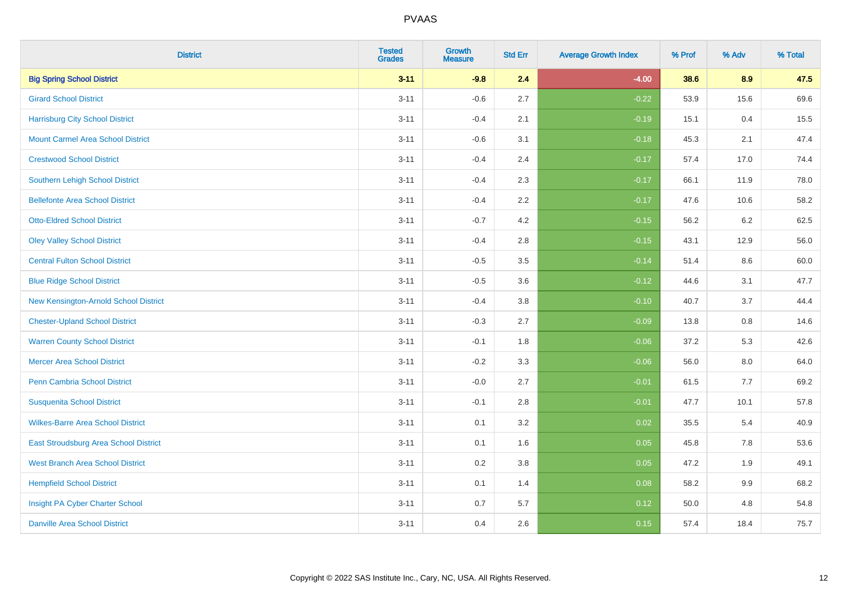| <b>District</b>                          | <b>Tested</b><br><b>Grades</b> | <b>Growth</b><br><b>Measure</b> | <b>Std Err</b> | <b>Average Growth Index</b> | % Prof | % Adv   | % Total |
|------------------------------------------|--------------------------------|---------------------------------|----------------|-----------------------------|--------|---------|---------|
| <b>Big Spring School District</b>        | $3 - 11$                       | $-9.8$                          | 2.4            | $-4.00$                     | 38.6   | 8.9     | 47.5    |
| <b>Girard School District</b>            | $3 - 11$                       | $-0.6$                          | 2.7            | $-0.22$                     | 53.9   | 15.6    | 69.6    |
| <b>Harrisburg City School District</b>   | $3 - 11$                       | $-0.4$                          | 2.1            | $-0.19$                     | 15.1   | 0.4     | 15.5    |
| <b>Mount Carmel Area School District</b> | $3 - 11$                       | $-0.6$                          | 3.1            | $-0.18$                     | 45.3   | 2.1     | 47.4    |
| <b>Crestwood School District</b>         | $3 - 11$                       | $-0.4$                          | 2.4            | $-0.17$                     | 57.4   | 17.0    | 74.4    |
| <b>Southern Lehigh School District</b>   | $3 - 11$                       | $-0.4$                          | 2.3            | $-0.17$                     | 66.1   | 11.9    | 78.0    |
| <b>Bellefonte Area School District</b>   | $3 - 11$                       | $-0.4$                          | 2.2            | $-0.17$                     | 47.6   | 10.6    | 58.2    |
| <b>Otto-Eldred School District</b>       | $3 - 11$                       | $-0.7$                          | 4.2            | $-0.15$                     | 56.2   | $6.2\,$ | 62.5    |
| <b>Oley Valley School District</b>       | $3 - 11$                       | $-0.4$                          | 2.8            | $-0.15$                     | 43.1   | 12.9    | 56.0    |
| <b>Central Fulton School District</b>    | $3 - 11$                       | $-0.5$                          | 3.5            | $-0.14$                     | 51.4   | 8.6     | 60.0    |
| <b>Blue Ridge School District</b>        | $3 - 11$                       | $-0.5$                          | 3.6            | $-0.12$                     | 44.6   | 3.1     | 47.7    |
| New Kensington-Arnold School District    | $3 - 11$                       | $-0.4$                          | 3.8            | $-0.10$                     | 40.7   | 3.7     | 44.4    |
| <b>Chester-Upland School District</b>    | $3 - 11$                       | $-0.3$                          | 2.7            | $-0.09$                     | 13.8   | $0.8\,$ | 14.6    |
| <b>Warren County School District</b>     | $3 - 11$                       | $-0.1$                          | 1.8            | $-0.06$                     | 37.2   | 5.3     | 42.6    |
| <b>Mercer Area School District</b>       | $3 - 11$                       | $-0.2$                          | 3.3            | $-0.06$                     | 56.0   | $8.0\,$ | 64.0    |
| <b>Penn Cambria School District</b>      | $3 - 11$                       | $-0.0$                          | 2.7            | $-0.01$                     | 61.5   | $7.7$   | 69.2    |
| <b>Susquenita School District</b>        | $3 - 11$                       | $-0.1$                          | 2.8            | $-0.01$                     | 47.7   | 10.1    | 57.8    |
| <b>Wilkes-Barre Area School District</b> | $3 - 11$                       | 0.1                             | 3.2            | 0.02                        | 35.5   | 5.4     | 40.9    |
| East Stroudsburg Area School District    | $3 - 11$                       | 0.1                             | 1.6            | 0.05                        | 45.8   | 7.8     | 53.6    |
| <b>West Branch Area School District</b>  | $3 - 11$                       | 0.2                             | 3.8            | 0.05                        | 47.2   | 1.9     | 49.1    |
| <b>Hempfield School District</b>         | $3 - 11$                       | 0.1                             | 1.4            | 0.08                        | 58.2   | 9.9     | 68.2    |
| Insight PA Cyber Charter School          | $3 - 11$                       | 0.7                             | 5.7            | 0.12                        | 50.0   | 4.8     | 54.8    |
| <b>Danville Area School District</b>     | $3 - 11$                       | 0.4                             | 2.6            | 0.15                        | 57.4   | 18.4    | 75.7    |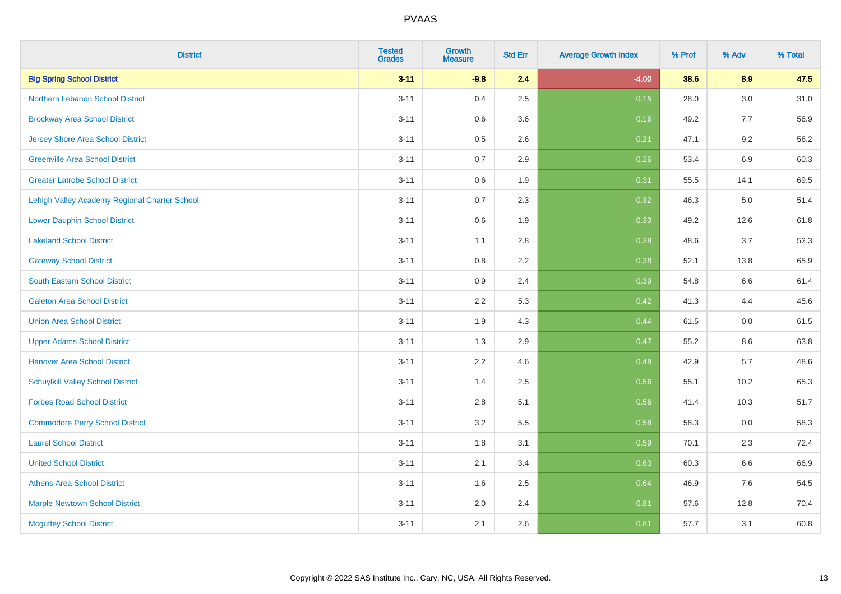| <b>District</b>                               | <b>Tested</b><br><b>Grades</b> | <b>Growth</b><br><b>Measure</b> | <b>Std Err</b> | <b>Average Growth Index</b> | % Prof | % Adv   | % Total |
|-----------------------------------------------|--------------------------------|---------------------------------|----------------|-----------------------------|--------|---------|---------|
| <b>Big Spring School District</b>             | $3 - 11$                       | $-9.8$                          | 2.4            | $-4.00$                     | 38.6   | 8.9     | 47.5    |
| <b>Northern Lebanon School District</b>       | $3 - 11$                       | 0.4                             | 2.5            | 0.15                        | 28.0   | $3.0\,$ | 31.0    |
| <b>Brockway Area School District</b>          | $3 - 11$                       | 0.6                             | 3.6            | 0.16                        | 49.2   | 7.7     | 56.9    |
| <b>Jersey Shore Area School District</b>      | $3 - 11$                       | 0.5                             | 2.6            | 0.21                        | 47.1   | 9.2     | 56.2    |
| <b>Greenville Area School District</b>        | $3 - 11$                       | 0.7                             | 2.9            | 0.26                        | 53.4   | 6.9     | 60.3    |
| <b>Greater Latrobe School District</b>        | $3 - 11$                       | 0.6                             | 1.9            | 0.31                        | 55.5   | 14.1    | 69.5    |
| Lehigh Valley Academy Regional Charter School | $3 - 11$                       | 0.7                             | 2.3            | 0.32                        | 46.3   | 5.0     | 51.4    |
| <b>Lower Dauphin School District</b>          | $3 - 11$                       | $0.6\,$                         | 1.9            | 0.33                        | 49.2   | 12.6    | 61.8    |
| <b>Lakeland School District</b>               | $3 - 11$                       | 1.1                             | 2.8            | 0.38                        | 48.6   | 3.7     | 52.3    |
| <b>Gateway School District</b>                | $3 - 11$                       | 0.8                             | 2.2            | 0.38                        | 52.1   | 13.8    | 65.9    |
| <b>South Eastern School District</b>          | $3 - 11$                       | 0.9                             | 2.4            | 0.39                        | 54.8   | 6.6     | 61.4    |
| <b>Galeton Area School District</b>           | $3 - 11$                       | 2.2                             | 5.3            | 0.42                        | 41.3   | 4.4     | 45.6    |
| <b>Union Area School District</b>             | $3 - 11$                       | 1.9                             | 4.3            | 0.44                        | 61.5   | 0.0     | 61.5    |
| <b>Upper Adams School District</b>            | $3 - 11$                       | 1.3                             | 2.9            | 0.47                        | 55.2   | 8.6     | 63.8    |
| <b>Hanover Area School District</b>           | $3 - 11$                       | 2.2                             | 4.6            | 0.48                        | 42.9   | 5.7     | 48.6    |
| <b>Schuylkill Valley School District</b>      | $3 - 11$                       | 1.4                             | 2.5            | 0.56                        | 55.1   | 10.2    | 65.3    |
| <b>Forbes Road School District</b>            | $3 - 11$                       | 2.8                             | 5.1            | 0.56                        | 41.4   | 10.3    | 51.7    |
| <b>Commodore Perry School District</b>        | $3 - 11$                       | 3.2                             | 5.5            | 0.58                        | 58.3   | 0.0     | 58.3    |
| <b>Laurel School District</b>                 | $3 - 11$                       | 1.8                             | 3.1            | 0.59                        | 70.1   | 2.3     | 72.4    |
| <b>United School District</b>                 | $3 - 11$                       | 2.1                             | 3.4            | 0.63                        | 60.3   | 6.6     | 66.9    |
| <b>Athens Area School District</b>            | $3 - 11$                       | 1.6                             | 2.5            | 0.64                        | 46.9   | 7.6     | 54.5    |
| <b>Marple Newtown School District</b>         | $3 - 11$                       | 2.0                             | 2.4            | 0.81                        | 57.6   | 12.8    | 70.4    |
| <b>Mcguffey School District</b>               | $3 - 11$                       | 2.1                             | 2.6            | 0.81                        | 57.7   | 3.1     | 60.8    |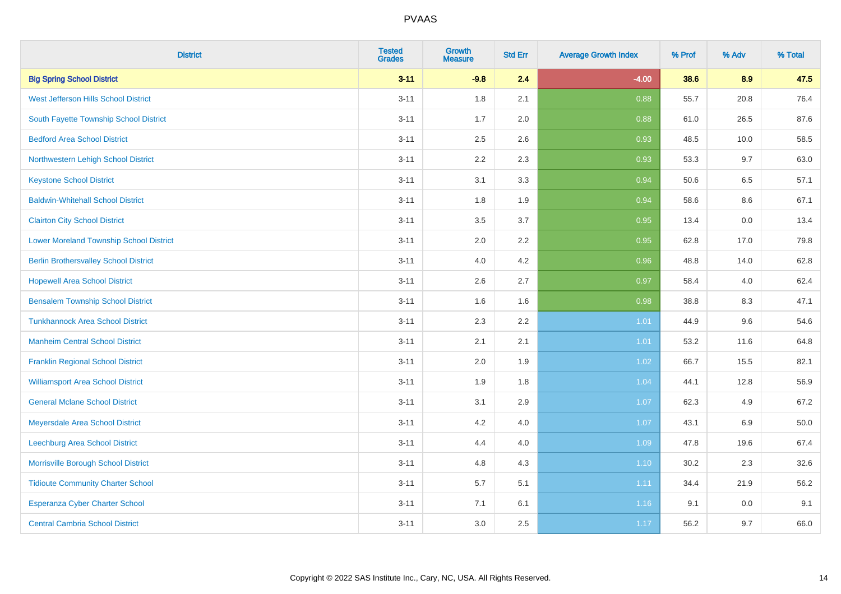| <b>District</b>                                | <b>Tested</b><br><b>Grades</b> | Growth<br><b>Measure</b> | <b>Std Err</b> | <b>Average Growth Index</b> | % Prof | % Adv   | % Total |
|------------------------------------------------|--------------------------------|--------------------------|----------------|-----------------------------|--------|---------|---------|
| <b>Big Spring School District</b>              | $3 - 11$                       | $-9.8$                   | 2.4            | $-4.00$                     | 38.6   | 8.9     | 47.5    |
| West Jefferson Hills School District           | $3 - 11$                       | 1.8                      | 2.1            | 0.88                        | 55.7   | 20.8    | 76.4    |
| South Fayette Township School District         | $3 - 11$                       | 1.7                      | 2.0            | 0.88                        | 61.0   | 26.5    | 87.6    |
| <b>Bedford Area School District</b>            | $3 - 11$                       | 2.5                      | 2.6            | 0.93                        | 48.5   | 10.0    | 58.5    |
| Northwestern Lehigh School District            | $3 - 11$                       | 2.2                      | 2.3            | 0.93                        | 53.3   | 9.7     | 63.0    |
| <b>Keystone School District</b>                | $3 - 11$                       | 3.1                      | 3.3            | 0.94                        | 50.6   | 6.5     | 57.1    |
| <b>Baldwin-Whitehall School District</b>       | $3 - 11$                       | 1.8                      | 1.9            | 0.94                        | 58.6   | $8.6\,$ | 67.1    |
| <b>Clairton City School District</b>           | $3 - 11$                       | 3.5                      | 3.7            | 0.95                        | 13.4   | 0.0     | 13.4    |
| <b>Lower Moreland Township School District</b> | $3 - 11$                       | 2.0                      | 2.2            | 0.95                        | 62.8   | 17.0    | 79.8    |
| <b>Berlin Brothersvalley School District</b>   | $3 - 11$                       | 4.0                      | 4.2            | 0.96                        | 48.8   | 14.0    | 62.8    |
| <b>Hopewell Area School District</b>           | $3 - 11$                       | 2.6                      | 2.7            | 0.97                        | 58.4   | 4.0     | 62.4    |
| <b>Bensalem Township School District</b>       | $3 - 11$                       | 1.6                      | 1.6            | 0.98                        | 38.8   | 8.3     | 47.1    |
| <b>Tunkhannock Area School District</b>        | $3 - 11$                       | 2.3                      | 2.2            | 1.01                        | 44.9   | 9.6     | 54.6    |
| <b>Manheim Central School District</b>         | $3 - 11$                       | 2.1                      | 2.1            | 1.01                        | 53.2   | 11.6    | 64.8    |
| <b>Franklin Regional School District</b>       | $3 - 11$                       | 2.0                      | 1.9            | 1.02                        | 66.7   | 15.5    | 82.1    |
| <b>Williamsport Area School District</b>       | $3 - 11$                       | 1.9                      | 1.8            | 1.04                        | 44.1   | 12.8    | 56.9    |
| <b>General Mclane School District</b>          | $3 - 11$                       | 3.1                      | 2.9            | 1.07                        | 62.3   | 4.9     | 67.2    |
| Meyersdale Area School District                | $3 - 11$                       | 4.2                      | 4.0            | 1.07                        | 43.1   | $6.9\,$ | 50.0    |
| <b>Leechburg Area School District</b>          | $3 - 11$                       | 4.4                      | 4.0            | 1.09                        | 47.8   | 19.6    | 67.4    |
| Morrisville Borough School District            | $3 - 11$                       | 4.8                      | 4.3            | 1.10                        | 30.2   | 2.3     | 32.6    |
| <b>Tidioute Community Charter School</b>       | $3 - 11$                       | 5.7                      | 5.1            | 1.11                        | 34.4   | 21.9    | 56.2    |
| Esperanza Cyber Charter School                 | $3 - 11$                       | 7.1                      | 6.1            | 1.16                        | 9.1    | 0.0     | 9.1     |
| <b>Central Cambria School District</b>         | $3 - 11$                       | 3.0                      | 2.5            | 1.17                        | 56.2   | 9.7     | 66.0    |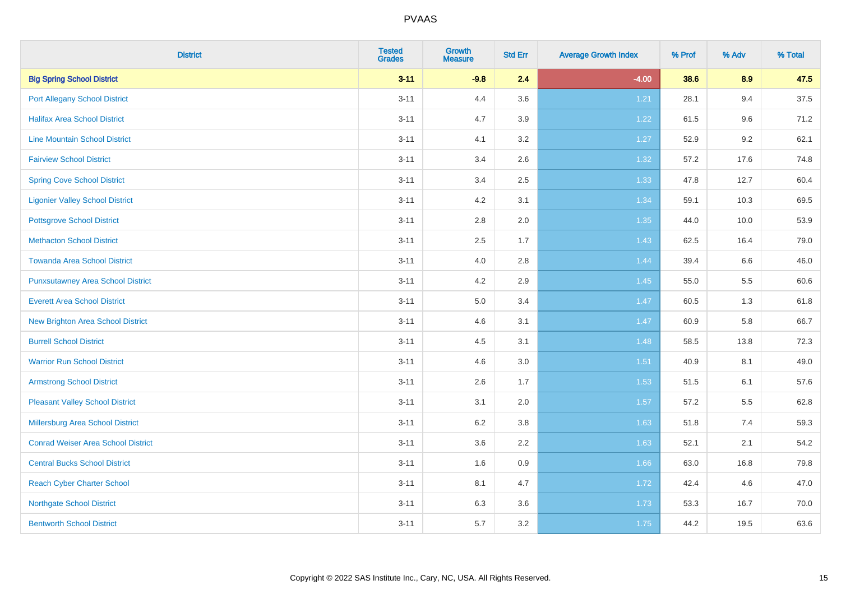| <b>District</b>                           | <b>Tested</b><br><b>Grades</b> | <b>Growth</b><br><b>Measure</b> | <b>Std Err</b> | <b>Average Growth Index</b> | % Prof | % Adv | % Total |
|-------------------------------------------|--------------------------------|---------------------------------|----------------|-----------------------------|--------|-------|---------|
| <b>Big Spring School District</b>         | $3 - 11$                       | $-9.8$                          | 2.4            | $-4.00$                     | 38.6   | 8.9   | 47.5    |
| <b>Port Allegany School District</b>      | $3 - 11$                       | 4.4                             | 3.6            | 1.21                        | 28.1   | 9.4   | 37.5    |
| <b>Halifax Area School District</b>       | $3 - 11$                       | 4.7                             | 3.9            | 1.22                        | 61.5   | 9.6   | 71.2    |
| <b>Line Mountain School District</b>      | $3 - 11$                       | 4.1                             | 3.2            | 1.27                        | 52.9   | 9.2   | 62.1    |
| <b>Fairview School District</b>           | $3 - 11$                       | 3.4                             | 2.6            | 1.32                        | 57.2   | 17.6  | 74.8    |
| <b>Spring Cove School District</b>        | $3 - 11$                       | 3.4                             | 2.5            | 1.33                        | 47.8   | 12.7  | 60.4    |
| <b>Ligonier Valley School District</b>    | $3 - 11$                       | 4.2                             | 3.1            | 1.34                        | 59.1   | 10.3  | 69.5    |
| <b>Pottsgrove School District</b>         | $3 - 11$                       | $2.8\,$                         | 2.0            | 1.35                        | 44.0   | 10.0  | 53.9    |
| <b>Methacton School District</b>          | $3 - 11$                       | 2.5                             | 1.7            | 1.43                        | 62.5   | 16.4  | 79.0    |
| <b>Towanda Area School District</b>       | $3 - 11$                       | 4.0                             | 2.8            | 1.44                        | 39.4   | 6.6   | 46.0    |
| <b>Punxsutawney Area School District</b>  | $3 - 11$                       | 4.2                             | 2.9            | 1.45                        | 55.0   | 5.5   | 60.6    |
| <b>Everett Area School District</b>       | $3 - 11$                       | 5.0                             | 3.4            | 1.47                        | 60.5   | 1.3   | 61.8    |
| New Brighton Area School District         | $3 - 11$                       | 4.6                             | 3.1            | 1.47                        | 60.9   | 5.8   | 66.7    |
| <b>Burrell School District</b>            | $3 - 11$                       | 4.5                             | 3.1            | 1.48                        | 58.5   | 13.8  | 72.3    |
| <b>Warrior Run School District</b>        | $3 - 11$                       | 4.6                             | 3.0            | 1.51                        | 40.9   | 8.1   | 49.0    |
| <b>Armstrong School District</b>          | $3 - 11$                       | 2.6                             | 1.7            | 1.53                        | 51.5   | 6.1   | 57.6    |
| <b>Pleasant Valley School District</b>    | $3 - 11$                       | 3.1                             | 2.0            | 1.57                        | 57.2   | 5.5   | 62.8    |
| Millersburg Area School District          | $3 - 11$                       | 6.2                             | 3.8            | 1.63                        | 51.8   | 7.4   | 59.3    |
| <b>Conrad Weiser Area School District</b> | $3 - 11$                       | 3.6                             | 2.2            | 1.63                        | 52.1   | 2.1   | 54.2    |
| <b>Central Bucks School District</b>      | $3 - 11$                       | 1.6                             | 0.9            | 1.66                        | 63.0   | 16.8  | 79.8    |
| <b>Reach Cyber Charter School</b>         | $3 - 11$                       | 8.1                             | 4.7            | 1.72                        | 42.4   | 4.6   | 47.0    |
| <b>Northgate School District</b>          | $3 - 11$                       | 6.3                             | 3.6            | 1.73                        | 53.3   | 16.7  | 70.0    |
| <b>Bentworth School District</b>          | $3 - 11$                       | 5.7                             | 3.2            | 1.75                        | 44.2   | 19.5  | 63.6    |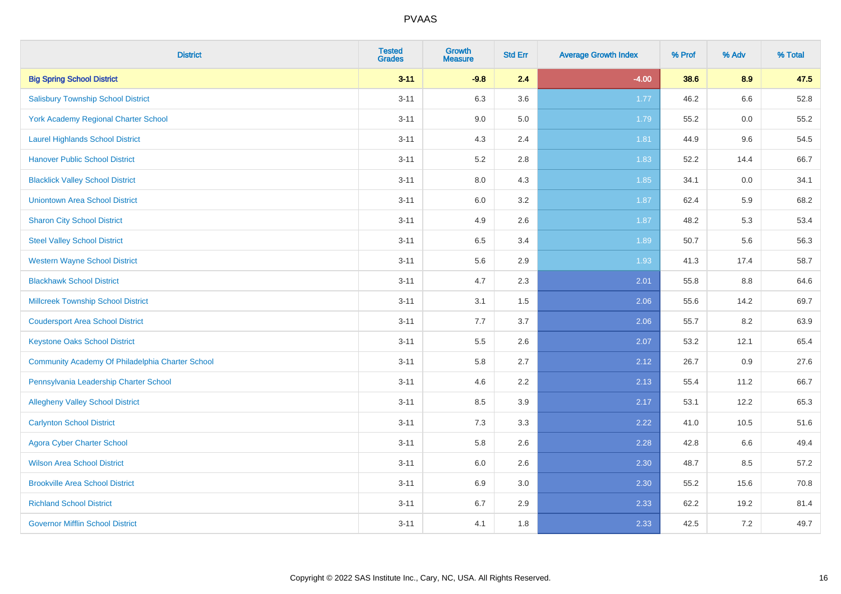| <b>District</b>                                  | <b>Tested</b><br><b>Grades</b> | <b>Growth</b><br><b>Measure</b> | <b>Std Err</b> | <b>Average Growth Index</b> | % Prof | % Adv | % Total |
|--------------------------------------------------|--------------------------------|---------------------------------|----------------|-----------------------------|--------|-------|---------|
| <b>Big Spring School District</b>                | $3 - 11$                       | $-9.8$                          | 2.4            | $-4.00$                     | 38.6   | 8.9   | 47.5    |
| <b>Salisbury Township School District</b>        | $3 - 11$                       | 6.3                             | 3.6            | 1.77                        | 46.2   | 6.6   | 52.8    |
| York Academy Regional Charter School             | $3 - 11$                       | 9.0                             | 5.0            | 1.79                        | 55.2   | 0.0   | 55.2    |
| <b>Laurel Highlands School District</b>          | $3 - 11$                       | 4.3                             | 2.4            | 1.81                        | 44.9   | 9.6   | 54.5    |
| <b>Hanover Public School District</b>            | $3 - 11$                       | 5.2                             | 2.8            | 1.83                        | 52.2   | 14.4  | 66.7    |
| <b>Blacklick Valley School District</b>          | $3 - 11$                       | $8.0\,$                         | 4.3            | 1.85                        | 34.1   | 0.0   | 34.1    |
| <b>Uniontown Area School District</b>            | $3 - 11$                       | $6.0\,$                         | 3.2            | 1.87                        | 62.4   | 5.9   | 68.2    |
| <b>Sharon City School District</b>               | $3 - 11$                       | 4.9                             | 2.6            | 1.87                        | 48.2   | 5.3   | 53.4    |
| <b>Steel Valley School District</b>              | $3 - 11$                       | 6.5                             | 3.4            | 1.89                        | 50.7   | 5.6   | 56.3    |
| <b>Western Wayne School District</b>             | $3 - 11$                       | $5.6\,$                         | 2.9            | 1.93                        | 41.3   | 17.4  | 58.7    |
| <b>Blackhawk School District</b>                 | $3 - 11$                       | 4.7                             | 2.3            | 2.01                        | 55.8   | 8.8   | 64.6    |
| <b>Millcreek Township School District</b>        | $3 - 11$                       | 3.1                             | 1.5            | 2.06                        | 55.6   | 14.2  | 69.7    |
| <b>Coudersport Area School District</b>          | $3 - 11$                       | 7.7                             | 3.7            | 2.06                        | 55.7   | 8.2   | 63.9    |
| <b>Keystone Oaks School District</b>             | $3 - 11$                       | $5.5\,$                         | 2.6            | 2.07                        | 53.2   | 12.1  | 65.4    |
| Community Academy Of Philadelphia Charter School | $3 - 11$                       | 5.8                             | 2.7            | 2.12                        | 26.7   | 0.9   | 27.6    |
| Pennsylvania Leadership Charter School           | $3 - 11$                       | 4.6                             | 2.2            | 2.13                        | 55.4   | 11.2  | 66.7    |
| <b>Allegheny Valley School District</b>          | $3 - 11$                       | 8.5                             | 3.9            | 2.17                        | 53.1   | 12.2  | 65.3    |
| <b>Carlynton School District</b>                 | $3 - 11$                       | 7.3                             | 3.3            | 2.22                        | 41.0   | 10.5  | 51.6    |
| <b>Agora Cyber Charter School</b>                | $3 - 11$                       | 5.8                             | 2.6            | 2.28                        | 42.8   | 6.6   | 49.4    |
| <b>Wilson Area School District</b>               | $3 - 11$                       | 6.0                             | 2.6            | 2.30                        | 48.7   | 8.5   | 57.2    |
| <b>Brookville Area School District</b>           | $3 - 11$                       | 6.9                             | 3.0            | 2.30                        | 55.2   | 15.6  | 70.8    |
| <b>Richland School District</b>                  | $3 - 11$                       | 6.7                             | 2.9            | 2.33                        | 62.2   | 19.2  | 81.4    |
| <b>Governor Mifflin School District</b>          | $3 - 11$                       | 4.1                             | 1.8            | 2.33                        | 42.5   | 7.2   | 49.7    |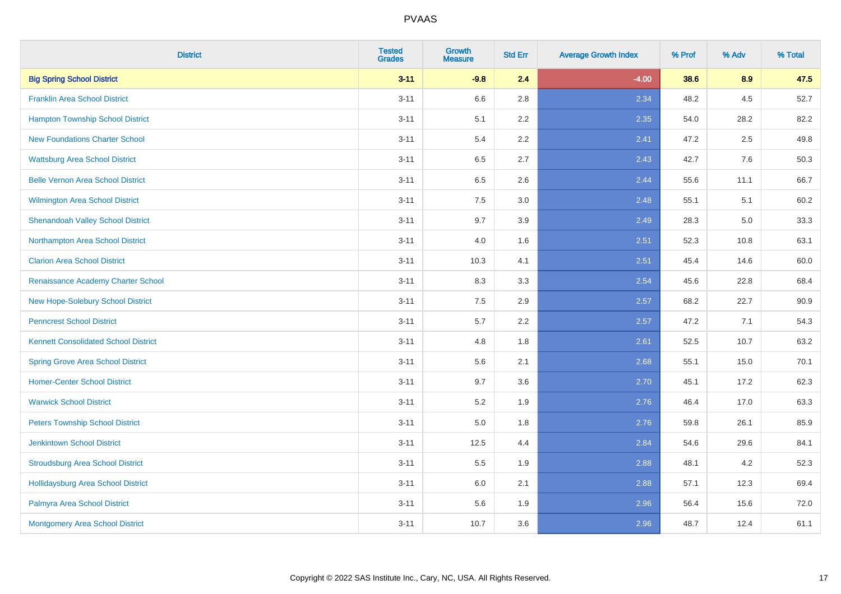| <b>District</b>                             | <b>Tested</b><br><b>Grades</b> | <b>Growth</b><br><b>Measure</b> | <b>Std Err</b> | <b>Average Growth Index</b> | % Prof | % Adv | % Total |
|---------------------------------------------|--------------------------------|---------------------------------|----------------|-----------------------------|--------|-------|---------|
| <b>Big Spring School District</b>           | $3 - 11$                       | $-9.8$                          | 2.4            | $-4.00$                     | 38.6   | 8.9   | 47.5    |
| <b>Franklin Area School District</b>        | $3 - 11$                       | 6.6                             | 2.8            | 2.34                        | 48.2   | 4.5   | 52.7    |
| <b>Hampton Township School District</b>     | $3 - 11$                       | 5.1                             | 2.2            | 2.35                        | 54.0   | 28.2  | 82.2    |
| <b>New Foundations Charter School</b>       | $3 - 11$                       | 5.4                             | 2.2            | 2.41                        | 47.2   | 2.5   | 49.8    |
| <b>Wattsburg Area School District</b>       | $3 - 11$                       | 6.5                             | 2.7            | 2.43                        | 42.7   | 7.6   | 50.3    |
| <b>Belle Vernon Area School District</b>    | $3 - 11$                       | 6.5                             | 2.6            | 2.44                        | 55.6   | 11.1  | 66.7    |
| Wilmington Area School District             | $3 - 11$                       | $7.5\,$                         | 3.0            | 2.48                        | 55.1   | 5.1   | 60.2    |
| <b>Shenandoah Valley School District</b>    | $3 - 11$                       | 9.7                             | 3.9            | 2.49                        | 28.3   | 5.0   | 33.3    |
| Northampton Area School District            | $3 - 11$                       | 4.0                             | 1.6            | 2.51                        | 52.3   | 10.8  | 63.1    |
| <b>Clarion Area School District</b>         | $3 - 11$                       | 10.3                            | 4.1            | 2.51                        | 45.4   | 14.6  | 60.0    |
| Renaissance Academy Charter School          | $3 - 11$                       | 8.3                             | 3.3            | 2.54                        | 45.6   | 22.8  | 68.4    |
| New Hope-Solebury School District           | $3 - 11$                       | 7.5                             | 2.9            | 2.57                        | 68.2   | 22.7  | 90.9    |
| <b>Penncrest School District</b>            | $3 - 11$                       | 5.7                             | 2.2            | 2.57                        | 47.2   | 7.1   | 54.3    |
| <b>Kennett Consolidated School District</b> | $3 - 11$                       | 4.8                             | 1.8            | 2.61                        | 52.5   | 10.7  | 63.2    |
| <b>Spring Grove Area School District</b>    | $3 - 11$                       | 5.6                             | 2.1            | 2.68                        | 55.1   | 15.0  | 70.1    |
| <b>Homer-Center School District</b>         | $3 - 11$                       | 9.7                             | 3.6            | 2.70                        | 45.1   | 17.2  | 62.3    |
| <b>Warwick School District</b>              | $3 - 11$                       | $5.2\,$                         | 1.9            | 2.76                        | 46.4   | 17.0  | 63.3    |
| <b>Peters Township School District</b>      | $3 - 11$                       | 5.0                             | 1.8            | 2.76                        | 59.8   | 26.1  | 85.9    |
| <b>Jenkintown School District</b>           | $3 - 11$                       | 12.5                            | 4.4            | 2.84                        | 54.6   | 29.6  | 84.1    |
| <b>Stroudsburg Area School District</b>     | $3 - 11$                       | 5.5                             | 1.9            | 2.88                        | 48.1   | 4.2   | 52.3    |
| <b>Hollidaysburg Area School District</b>   | $3 - 11$                       | 6.0                             | 2.1            | 2.88                        | 57.1   | 12.3  | 69.4    |
| Palmyra Area School District                | $3 - 11$                       | 5.6                             | 1.9            | 2.96                        | 56.4   | 15.6  | 72.0    |
| Montgomery Area School District             | $3 - 11$                       | 10.7                            | 3.6            | 2.96                        | 48.7   | 12.4  | 61.1    |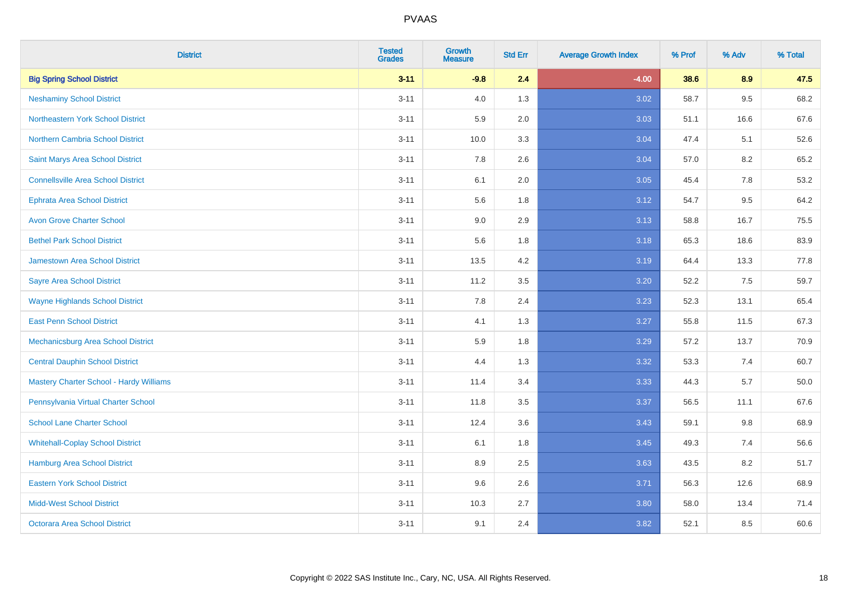| <b>District</b>                                | <b>Tested</b><br><b>Grades</b> | Growth<br><b>Measure</b> | <b>Std Err</b> | <b>Average Growth Index</b> | % Prof | % Adv | % Total |
|------------------------------------------------|--------------------------------|--------------------------|----------------|-----------------------------|--------|-------|---------|
| <b>Big Spring School District</b>              | $3 - 11$                       | $-9.8$                   | 2.4            | $-4.00$                     | 38.6   | 8.9   | 47.5    |
| <b>Neshaminy School District</b>               | $3 - 11$                       | 4.0                      | 1.3            | 3.02                        | 58.7   | 9.5   | 68.2    |
| Northeastern York School District              | $3 - 11$                       | 5.9                      | 2.0            | 3.03                        | 51.1   | 16.6  | 67.6    |
| Northern Cambria School District               | $3 - 11$                       | 10.0                     | 3.3            | 3.04                        | 47.4   | 5.1   | 52.6    |
| Saint Marys Area School District               | $3 - 11$                       | 7.8                      | 2.6            | 3.04                        | 57.0   | 8.2   | 65.2    |
| <b>Connellsville Area School District</b>      | $3 - 11$                       | 6.1                      | 2.0            | 3.05                        | 45.4   | 7.8   | 53.2    |
| <b>Ephrata Area School District</b>            | $3 - 11$                       | 5.6                      | 1.8            | 3.12                        | 54.7   | 9.5   | 64.2    |
| <b>Avon Grove Charter School</b>               | $3 - 11$                       | 9.0                      | 2.9            | 3.13                        | 58.8   | 16.7  | 75.5    |
| <b>Bethel Park School District</b>             | $3 - 11$                       | 5.6                      | 1.8            | 3.18                        | 65.3   | 18.6  | 83.9    |
| <b>Jamestown Area School District</b>          | $3 - 11$                       | 13.5                     | 4.2            | 3.19                        | 64.4   | 13.3  | 77.8    |
| <b>Sayre Area School District</b>              | $3 - 11$                       | 11.2                     | 3.5            | 3.20                        | 52.2   | 7.5   | 59.7    |
| <b>Wayne Highlands School District</b>         | $3 - 11$                       | 7.8                      | 2.4            | 3.23                        | 52.3   | 13.1  | 65.4    |
| <b>East Penn School District</b>               | $3 - 11$                       | 4.1                      | 1.3            | 3.27                        | 55.8   | 11.5  | 67.3    |
| Mechanicsburg Area School District             | $3 - 11$                       | 5.9                      | 1.8            | 3.29                        | 57.2   | 13.7  | 70.9    |
| <b>Central Dauphin School District</b>         | $3 - 11$                       | 4.4                      | 1.3            | 3.32                        | 53.3   | 7.4   | 60.7    |
| <b>Mastery Charter School - Hardy Williams</b> | $3 - 11$                       | 11.4                     | 3.4            | 3.33                        | 44.3   | 5.7   | 50.0    |
| Pennsylvania Virtual Charter School            | $3 - 11$                       | 11.8                     | 3.5            | 3.37                        | 56.5   | 11.1  | 67.6    |
| <b>School Lane Charter School</b>              | $3 - 11$                       | 12.4                     | 3.6            | 3.43                        | 59.1   | 9.8   | 68.9    |
| <b>Whitehall-Coplay School District</b>        | $3 - 11$                       | 6.1                      | 1.8            | 3.45                        | 49.3   | 7.4   | 56.6    |
| Hamburg Area School District                   | $3 - 11$                       | 8.9                      | 2.5            | 3.63                        | 43.5   | 8.2   | 51.7    |
| <b>Eastern York School District</b>            | $3 - 11$                       | 9.6                      | 2.6            | 3.71                        | 56.3   | 12.6  | 68.9    |
| <b>Midd-West School District</b>               | $3 - 11$                       | 10.3                     | 2.7            | 3.80                        | 58.0   | 13.4  | 71.4    |
| <b>Octorara Area School District</b>           | $3 - 11$                       | 9.1                      | 2.4            | 3.82                        | 52.1   | 8.5   | 60.6    |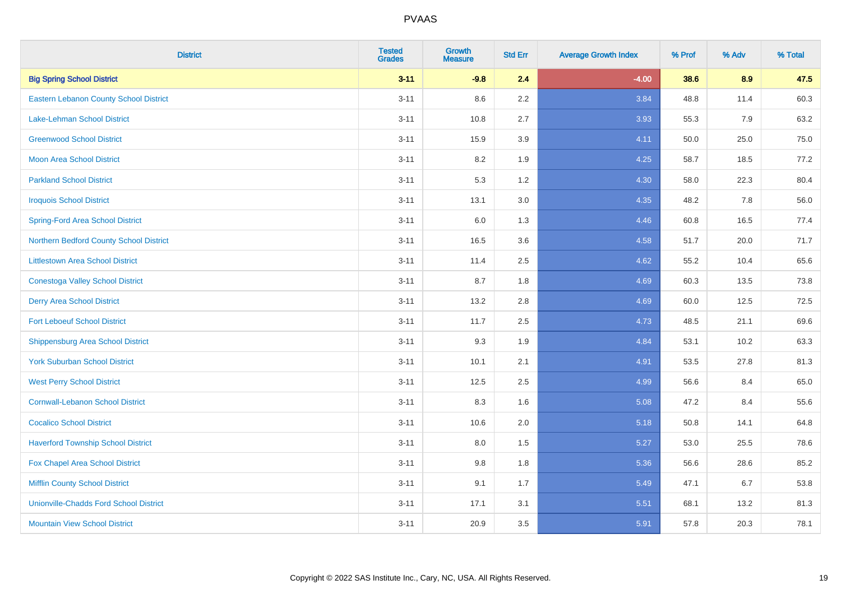| <b>District</b>                               | <b>Tested</b><br><b>Grades</b> | <b>Growth</b><br><b>Measure</b> | <b>Std Err</b> | <b>Average Growth Index</b> | % Prof | % Adv | % Total |
|-----------------------------------------------|--------------------------------|---------------------------------|----------------|-----------------------------|--------|-------|---------|
| <b>Big Spring School District</b>             | $3 - 11$                       | $-9.8$                          | 2.4            | $-4.00$                     | 38.6   | 8.9   | 47.5    |
| Eastern Lebanon County School District        | $3 - 11$                       | 8.6                             | 2.2            | 3.84                        | 48.8   | 11.4  | 60.3    |
| Lake-Lehman School District                   | $3 - 11$                       | 10.8                            | 2.7            | 3.93                        | 55.3   | 7.9   | 63.2    |
| <b>Greenwood School District</b>              | $3 - 11$                       | 15.9                            | 3.9            | 4.11                        | 50.0   | 25.0  | 75.0    |
| <b>Moon Area School District</b>              | $3 - 11$                       | 8.2                             | 1.9            | 4.25                        | 58.7   | 18.5  | 77.2    |
| <b>Parkland School District</b>               | $3 - 11$                       | 5.3                             | 1.2            | 4.30                        | 58.0   | 22.3  | 80.4    |
| <b>Iroquois School District</b>               | $3 - 11$                       | 13.1                            | 3.0            | 4.35                        | 48.2   | 7.8   | 56.0    |
| <b>Spring-Ford Area School District</b>       | $3 - 11$                       | 6.0                             | 1.3            | 4.46                        | 60.8   | 16.5  | 77.4    |
| Northern Bedford County School District       | $3 - 11$                       | 16.5                            | 3.6            | 4.58                        | 51.7   | 20.0  | 71.7    |
| <b>Littlestown Area School District</b>       | $3 - 11$                       | 11.4                            | 2.5            | 4.62                        | 55.2   | 10.4  | 65.6    |
| <b>Conestoga Valley School District</b>       | $3 - 11$                       | 8.7                             | 1.8            | 4.69                        | 60.3   | 13.5  | 73.8    |
| <b>Derry Area School District</b>             | $3 - 11$                       | 13.2                            | 2.8            | 4.69                        | 60.0   | 12.5  | 72.5    |
| <b>Fort Leboeuf School District</b>           | $3 - 11$                       | 11.7                            | 2.5            | 4.73                        | 48.5   | 21.1  | 69.6    |
| <b>Shippensburg Area School District</b>      | $3 - 11$                       | 9.3                             | 1.9            | 4.84                        | 53.1   | 10.2  | 63.3    |
| <b>York Suburban School District</b>          | $3 - 11$                       | 10.1                            | 2.1            | 4.91                        | 53.5   | 27.8  | 81.3    |
| <b>West Perry School District</b>             | $3 - 11$                       | 12.5                            | 2.5            | 4.99                        | 56.6   | 8.4   | 65.0    |
| <b>Cornwall-Lebanon School District</b>       | $3 - 11$                       | 8.3                             | 1.6            | 5.08                        | 47.2   | 8.4   | 55.6    |
| <b>Cocalico School District</b>               | $3 - 11$                       | 10.6                            | 2.0            | 5.18                        | 50.8   | 14.1  | 64.8    |
| <b>Haverford Township School District</b>     | $3 - 11$                       | 8.0                             | 1.5            | 5.27                        | 53.0   | 25.5  | 78.6    |
| <b>Fox Chapel Area School District</b>        | $3 - 11$                       | 9.8                             | 1.8            | 5.36                        | 56.6   | 28.6  | 85.2    |
| <b>Mifflin County School District</b>         | $3 - 11$                       | 9.1                             | 1.7            | 5.49                        | 47.1   | 6.7   | 53.8    |
| <b>Unionville-Chadds Ford School District</b> | $3 - 11$                       | 17.1                            | 3.1            | 5.51                        | 68.1   | 13.2  | 81.3    |
| <b>Mountain View School District</b>          | $3 - 11$                       | 20.9                            | 3.5            | 5.91                        | 57.8   | 20.3  | 78.1    |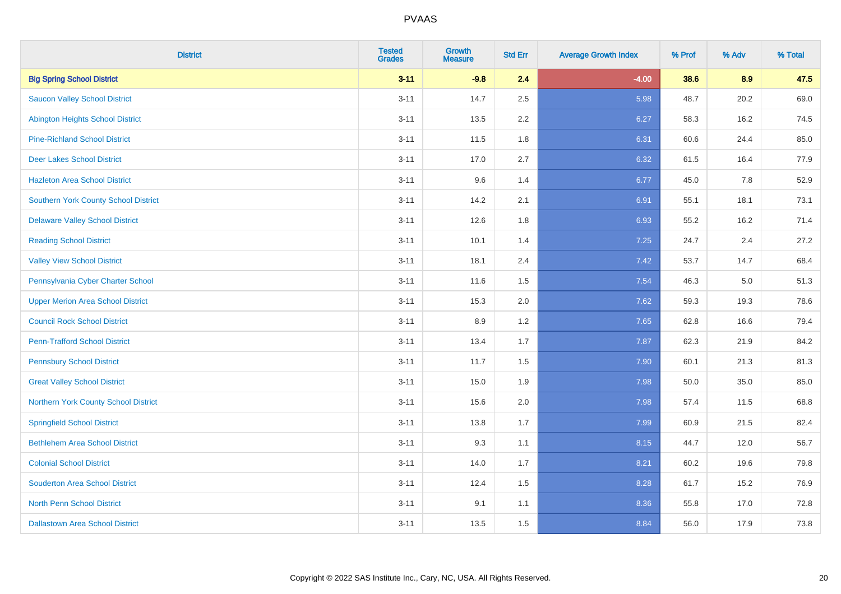| <b>District</b>                             | <b>Tested</b><br><b>Grades</b> | Growth<br><b>Measure</b> | <b>Std Err</b> | <b>Average Growth Index</b> | % Prof | % Adv | % Total |
|---------------------------------------------|--------------------------------|--------------------------|----------------|-----------------------------|--------|-------|---------|
| <b>Big Spring School District</b>           | $3 - 11$                       | $-9.8$                   | 2.4            | $-4.00$                     | 38.6   | 8.9   | 47.5    |
| <b>Saucon Valley School District</b>        | $3 - 11$                       | 14.7                     | 2.5            | 5.98                        | 48.7   | 20.2  | 69.0    |
| <b>Abington Heights School District</b>     | $3 - 11$                       | 13.5                     | 2.2            | 6.27                        | 58.3   | 16.2  | 74.5    |
| <b>Pine-Richland School District</b>        | $3 - 11$                       | 11.5                     | 1.8            | 6.31                        | 60.6   | 24.4  | 85.0    |
| <b>Deer Lakes School District</b>           | $3 - 11$                       | 17.0                     | 2.7            | 6.32                        | 61.5   | 16.4  | 77.9    |
| <b>Hazleton Area School District</b>        | $3 - 11$                       | 9.6                      | 1.4            | 6.77                        | 45.0   | 7.8   | 52.9    |
| <b>Southern York County School District</b> | $3 - 11$                       | 14.2                     | 2.1            | 6.91                        | 55.1   | 18.1  | 73.1    |
| <b>Delaware Valley School District</b>      | $3 - 11$                       | 12.6                     | 1.8            | 6.93                        | 55.2   | 16.2  | 71.4    |
| <b>Reading School District</b>              | $3 - 11$                       | 10.1                     | 1.4            | 7.25                        | 24.7   | 2.4   | 27.2    |
| <b>Valley View School District</b>          | $3 - 11$                       | 18.1                     | 2.4            | 7.42                        | 53.7   | 14.7  | 68.4    |
| Pennsylvania Cyber Charter School           | $3 - 11$                       | 11.6                     | 1.5            | 7.54                        | 46.3   | 5.0   | 51.3    |
| <b>Upper Merion Area School District</b>    | $3 - 11$                       | 15.3                     | 2.0            | 7.62                        | 59.3   | 19.3  | 78.6    |
| <b>Council Rock School District</b>         | $3 - 11$                       | 8.9                      | 1.2            | 7.65                        | 62.8   | 16.6  | 79.4    |
| <b>Penn-Trafford School District</b>        | $3 - 11$                       | 13.4                     | 1.7            | 7.87                        | 62.3   | 21.9  | 84.2    |
| <b>Pennsbury School District</b>            | $3 - 11$                       | 11.7                     | 1.5            | 7.90                        | 60.1   | 21.3  | 81.3    |
| <b>Great Valley School District</b>         | $3 - 11$                       | 15.0                     | 1.9            | 7.98                        | 50.0   | 35.0  | 85.0    |
| Northern York County School District        | $3 - 11$                       | 15.6                     | 2.0            | 7.98                        | 57.4   | 11.5  | 68.8    |
| <b>Springfield School District</b>          | $3 - 11$                       | 13.8                     | 1.7            | 7.99                        | 60.9   | 21.5  | 82.4    |
| <b>Bethlehem Area School District</b>       | $3 - 11$                       | 9.3                      | 1.1            | 8.15                        | 44.7   | 12.0  | 56.7    |
| <b>Colonial School District</b>             | $3 - 11$                       | 14.0                     | 1.7            | 8.21                        | 60.2   | 19.6  | 79.8    |
| <b>Souderton Area School District</b>       | $3 - 11$                       | 12.4                     | 1.5            | 8.28                        | 61.7   | 15.2  | 76.9    |
| <b>North Penn School District</b>           | $3 - 11$                       | 9.1                      | 1.1            | 8.36                        | 55.8   | 17.0  | 72.8    |
| <b>Dallastown Area School District</b>      | $3 - 11$                       | 13.5                     | 1.5            | 8.84                        | 56.0   | 17.9  | 73.8    |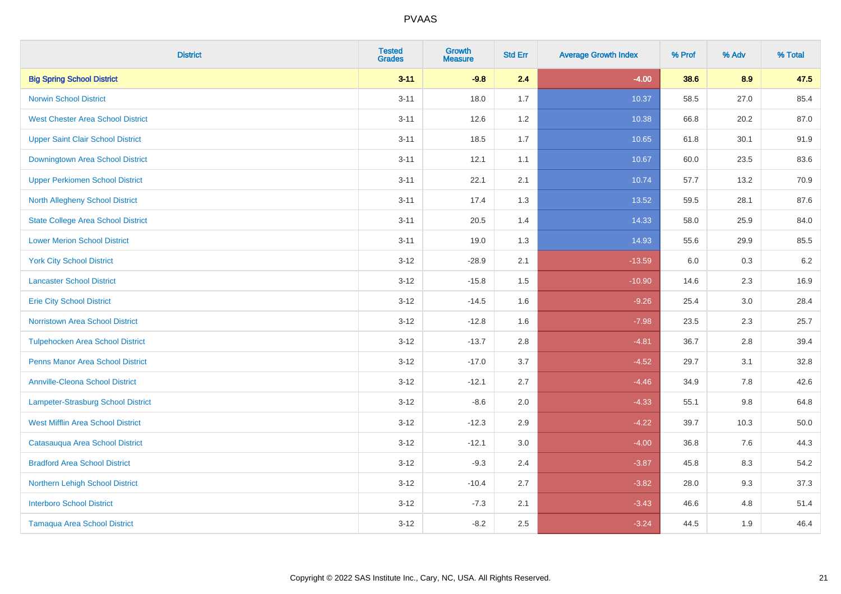| <b>District</b>                           | <b>Tested</b><br><b>Grades</b> | Growth<br><b>Measure</b> | <b>Std Err</b> | <b>Average Growth Index</b> | % Prof | % Adv   | % Total |
|-------------------------------------------|--------------------------------|--------------------------|----------------|-----------------------------|--------|---------|---------|
| <b>Big Spring School District</b>         | $3 - 11$                       | $-9.8$                   | 2.4            | $-4.00$                     | 38.6   | 8.9     | 47.5    |
| <b>Norwin School District</b>             | $3 - 11$                       | 18.0                     | 1.7            | 10.37                       | 58.5   | 27.0    | 85.4    |
| <b>West Chester Area School District</b>  | $3 - 11$                       | 12.6                     | 1.2            | 10.38                       | 66.8   | 20.2    | 87.0    |
| <b>Upper Saint Clair School District</b>  | $3 - 11$                       | 18.5                     | 1.7            | 10.65                       | 61.8   | 30.1    | 91.9    |
| Downingtown Area School District          | $3 - 11$                       | 12.1                     | 1.1            | 10.67                       | 60.0   | 23.5    | 83.6    |
| <b>Upper Perkiomen School District</b>    | $3 - 11$                       | 22.1                     | 2.1            | 10.74                       | 57.7   | 13.2    | 70.9    |
| <b>North Allegheny School District</b>    | $3 - 11$                       | 17.4                     | 1.3            | 13.52                       | 59.5   | 28.1    | 87.6    |
| <b>State College Area School District</b> | $3 - 11$                       | 20.5                     | 1.4            | 14.33                       | 58.0   | 25.9    | 84.0    |
| <b>Lower Merion School District</b>       | $3 - 11$                       | 19.0                     | 1.3            | 14.93                       | 55.6   | 29.9    | 85.5    |
| <b>York City School District</b>          | $3 - 12$                       | $-28.9$                  | 2.1            | $-13.59$                    | 6.0    | 0.3     | $6.2\,$ |
| <b>Lancaster School District</b>          | $3 - 12$                       | $-15.8$                  | 1.5            | $-10.90$                    | 14.6   | 2.3     | 16.9    |
| <b>Erie City School District</b>          | $3 - 12$                       | $-14.5$                  | 1.6            | $-9.26$                     | 25.4   | 3.0     | 28.4    |
| Norristown Area School District           | $3 - 12$                       | $-12.8$                  | 1.6            | $-7.98$                     | 23.5   | 2.3     | 25.7    |
| <b>Tulpehocken Area School District</b>   | $3 - 12$                       | $-13.7$                  | 2.8            | $-4.81$                     | 36.7   | 2.8     | 39.4    |
| <b>Penns Manor Area School District</b>   | $3 - 12$                       | $-17.0$                  | 3.7            | $-4.52$                     | 29.7   | 3.1     | 32.8    |
| <b>Annville-Cleona School District</b>    | $3 - 12$                       | $-12.1$                  | 2.7            | $-4.46$                     | 34.9   | $7.8\,$ | 42.6    |
| Lampeter-Strasburg School District        | $3 - 12$                       | $-8.6$                   | 2.0            | $-4.33$                     | 55.1   | 9.8     | 64.8    |
| <b>West Mifflin Area School District</b>  | $3 - 12$                       | $-12.3$                  | 2.9            | $-4.22$                     | 39.7   | 10.3    | 50.0    |
| Catasauqua Area School District           | $3 - 12$                       | $-12.1$                  | 3.0            | $-4.00$                     | 36.8   | 7.6     | 44.3    |
| <b>Bradford Area School District</b>      | $3 - 12$                       | $-9.3$                   | 2.4            | $-3.87$                     | 45.8   | 8.3     | 54.2    |
| Northern Lehigh School District           | $3 - 12$                       | $-10.4$                  | 2.7            | $-3.82$                     | 28.0   | 9.3     | 37.3    |
| <b>Interboro School District</b>          | $3 - 12$                       | $-7.3$                   | 2.1            | $-3.43$                     | 46.6   | 4.8     | 51.4    |
| <b>Tamaqua Area School District</b>       | $3 - 12$                       | $-8.2$                   | 2.5            | $-3.24$                     | 44.5   | 1.9     | 46.4    |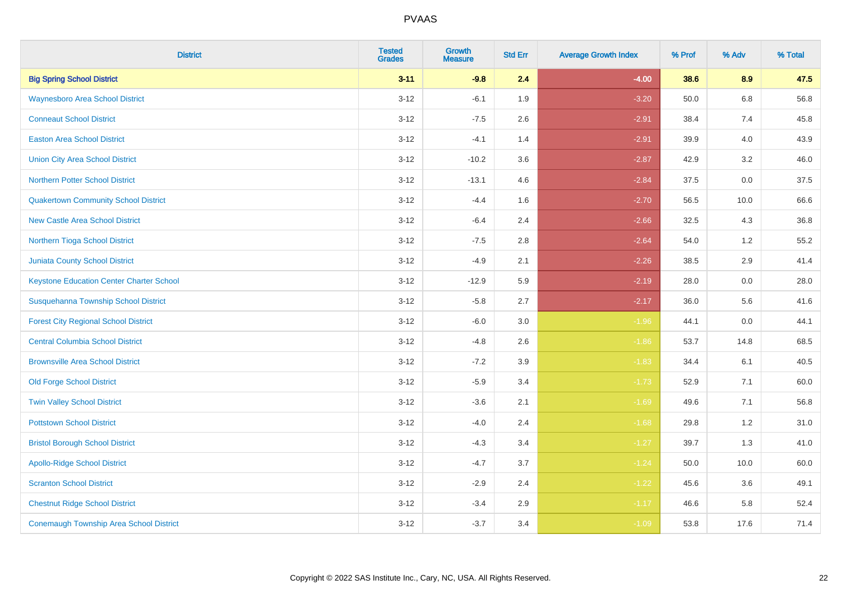| <b>District</b>                                 | <b>Tested</b><br><b>Grades</b> | <b>Growth</b><br><b>Measure</b> | <b>Std Err</b> | <b>Average Growth Index</b> | % Prof | % Adv   | % Total |
|-------------------------------------------------|--------------------------------|---------------------------------|----------------|-----------------------------|--------|---------|---------|
| <b>Big Spring School District</b>               | $3 - 11$                       | $-9.8$                          | 2.4            | $-4.00$                     | 38.6   | 8.9     | 47.5    |
| <b>Waynesboro Area School District</b>          | $3 - 12$                       | $-6.1$                          | 1.9            | $-3.20$                     | 50.0   | 6.8     | 56.8    |
| <b>Conneaut School District</b>                 | $3 - 12$                       | $-7.5$                          | 2.6            | $-2.91$                     | 38.4   | 7.4     | 45.8    |
| <b>Easton Area School District</b>              | $3 - 12$                       | $-4.1$                          | 1.4            | $-2.91$                     | 39.9   | 4.0     | 43.9    |
| <b>Union City Area School District</b>          | $3 - 12$                       | $-10.2$                         | 3.6            | $-2.87$                     | 42.9   | 3.2     | 46.0    |
| <b>Northern Potter School District</b>          | $3 - 12$                       | $-13.1$                         | 4.6            | $-2.84$                     | 37.5   | $0.0\,$ | 37.5    |
| <b>Quakertown Community School District</b>     | $3 - 12$                       | $-4.4$                          | 1.6            | $-2.70$                     | 56.5   | 10.0    | 66.6    |
| <b>New Castle Area School District</b>          | $3 - 12$                       | $-6.4$                          | 2.4            | $-2.66$                     | 32.5   | 4.3     | 36.8    |
| Northern Tioga School District                  | $3 - 12$                       | $-7.5$                          | 2.8            | $-2.64$                     | 54.0   | 1.2     | 55.2    |
| Juniata County School District                  | $3 - 12$                       | $-4.9$                          | 2.1            | $-2.26$                     | 38.5   | 2.9     | 41.4    |
| <b>Keystone Education Center Charter School</b> | $3 - 12$                       | $-12.9$                         | 5.9            | $-2.19$                     | 28.0   | 0.0     | 28.0    |
| Susquehanna Township School District            | $3 - 12$                       | $-5.8$                          | 2.7            | $-2.17$                     | 36.0   | 5.6     | 41.6    |
| <b>Forest City Regional School District</b>     | $3 - 12$                       | $-6.0$                          | 3.0            | $-1.96$                     | 44.1   | 0.0     | 44.1    |
| <b>Central Columbia School District</b>         | $3 - 12$                       | $-4.8$                          | 2.6            | $-1.86$                     | 53.7   | 14.8    | 68.5    |
| <b>Brownsville Area School District</b>         | $3 - 12$                       | $-7.2$                          | 3.9            | $-1.83$                     | 34.4   | 6.1     | 40.5    |
| <b>Old Forge School District</b>                | $3 - 12$                       | $-5.9$                          | 3.4            | $-1.73$                     | 52.9   | 7.1     | 60.0    |
| <b>Twin Valley School District</b>              | $3 - 12$                       | $-3.6$                          | 2.1            | $-1.69$                     | 49.6   | 7.1     | 56.8    |
| <b>Pottstown School District</b>                | $3 - 12$                       | $-4.0$                          | 2.4            | $-1.68$                     | 29.8   | 1.2     | 31.0    |
| <b>Bristol Borough School District</b>          | $3 - 12$                       | $-4.3$                          | 3.4            | $-1.27$                     | 39.7   | 1.3     | 41.0    |
| <b>Apollo-Ridge School District</b>             | $3 - 12$                       | $-4.7$                          | 3.7            | $-1.24$                     | 50.0   | 10.0    | 60.0    |
| <b>Scranton School District</b>                 | $3 - 12$                       | $-2.9$                          | 2.4            | $-1.22$                     | 45.6   | 3.6     | 49.1    |
| <b>Chestnut Ridge School District</b>           | $3 - 12$                       | $-3.4$                          | 2.9            | $-1.17$                     | 46.6   | 5.8     | 52.4    |
| <b>Conemaugh Township Area School District</b>  | $3 - 12$                       | $-3.7$                          | 3.4            | $-1.09$                     | 53.8   | 17.6    | 71.4    |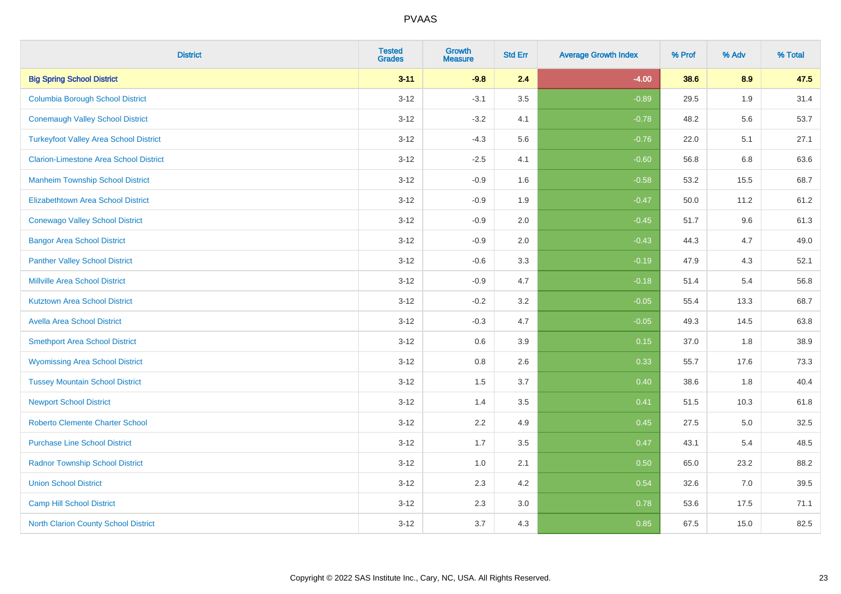| <b>District</b>                               | <b>Tested</b><br><b>Grades</b> | Growth<br><b>Measure</b> | <b>Std Err</b> | <b>Average Growth Index</b> | % Prof | % Adv | % Total |
|-----------------------------------------------|--------------------------------|--------------------------|----------------|-----------------------------|--------|-------|---------|
| <b>Big Spring School District</b>             | $3 - 11$                       | $-9.8$                   | 2.4            | $-4.00$                     | 38.6   | 8.9   | 47.5    |
| <b>Columbia Borough School District</b>       | $3 - 12$                       | $-3.1$                   | 3.5            | $-0.89$                     | 29.5   | 1.9   | 31.4    |
| <b>Conemaugh Valley School District</b>       | $3 - 12$                       | $-3.2$                   | 4.1            | $-0.78$                     | 48.2   | 5.6   | 53.7    |
| <b>Turkeyfoot Valley Area School District</b> | $3 - 12$                       | $-4.3$                   | 5.6            | $-0.76$                     | 22.0   | 5.1   | 27.1    |
| <b>Clarion-Limestone Area School District</b> | $3 - 12$                       | $-2.5$                   | 4.1            | $-0.60$                     | 56.8   | 6.8   | 63.6    |
| <b>Manheim Township School District</b>       | $3 - 12$                       | $-0.9$                   | 1.6            | $-0.58$                     | 53.2   | 15.5  | 68.7    |
| <b>Elizabethtown Area School District</b>     | $3 - 12$                       | $-0.9$                   | 1.9            | $-0.47$                     | 50.0   | 11.2  | 61.2    |
| <b>Conewago Valley School District</b>        | $3 - 12$                       | $-0.9$                   | 2.0            | $-0.45$                     | 51.7   | 9.6   | 61.3    |
| <b>Bangor Area School District</b>            | $3 - 12$                       | $-0.9$                   | 2.0            | $-0.43$                     | 44.3   | 4.7   | 49.0    |
| <b>Panther Valley School District</b>         | $3 - 12$                       | $-0.6$                   | 3.3            | $-0.19$                     | 47.9   | 4.3   | 52.1    |
| <b>Millville Area School District</b>         | $3 - 12$                       | $-0.9$                   | 4.7            | $-0.18$                     | 51.4   | 5.4   | 56.8    |
| <b>Kutztown Area School District</b>          | $3 - 12$                       | $-0.2$                   | 3.2            | $-0.05$                     | 55.4   | 13.3  | 68.7    |
| <b>Avella Area School District</b>            | $3 - 12$                       | $-0.3$                   | 4.7            | $-0.05$                     | 49.3   | 14.5  | 63.8    |
| <b>Smethport Area School District</b>         | $3 - 12$                       | 0.6                      | 3.9            | 0.15                        | 37.0   | 1.8   | 38.9    |
| <b>Wyomissing Area School District</b>        | $3 - 12$                       | $0.8\,$                  | 2.6            | 0.33                        | 55.7   | 17.6  | 73.3    |
| <b>Tussey Mountain School District</b>        | $3 - 12$                       | 1.5                      | 3.7            | 0.40                        | 38.6   | 1.8   | 40.4    |
| <b>Newport School District</b>                | $3 - 12$                       | 1.4                      | 3.5            | 0.41                        | 51.5   | 10.3  | 61.8    |
| <b>Roberto Clemente Charter School</b>        | $3 - 12$                       | 2.2                      | 4.9            | 0.45                        | 27.5   | 5.0   | 32.5    |
| <b>Purchase Line School District</b>          | $3 - 12$                       | 1.7                      | 3.5            | 0.47                        | 43.1   | 5.4   | 48.5    |
| <b>Radnor Township School District</b>        | $3 - 12$                       | $1.0\,$                  | 2.1            | 0.50                        | 65.0   | 23.2  | 88.2    |
| <b>Union School District</b>                  | $3 - 12$                       | 2.3                      | 4.2            | 0.54                        | 32.6   | 7.0   | 39.5    |
| <b>Camp Hill School District</b>              | $3 - 12$                       | 2.3                      | 3.0            | 0.78                        | 53.6   | 17.5  | 71.1    |
| North Clarion County School District          | $3 - 12$                       | 3.7                      | 4.3            | 0.85                        | 67.5   | 15.0  | 82.5    |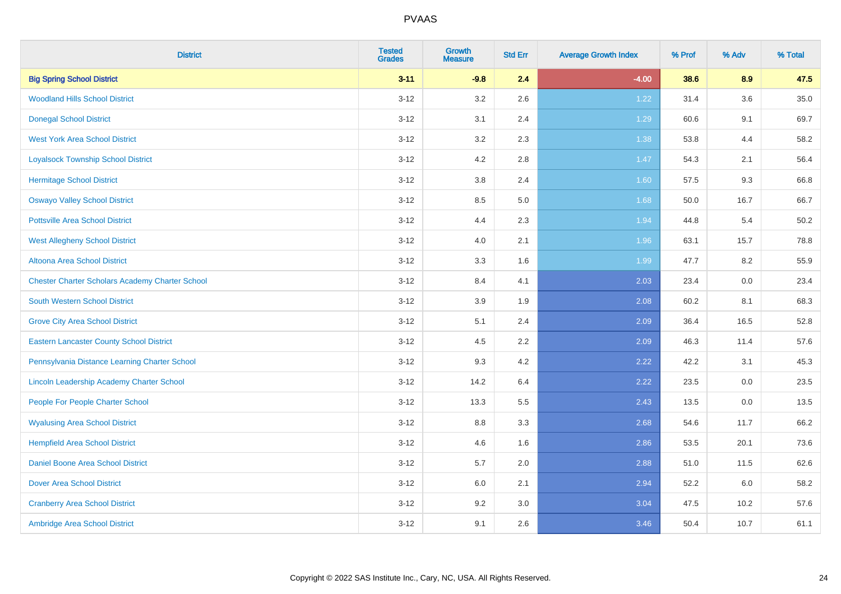| <b>District</b>                                        | <b>Tested</b><br><b>Grades</b> | <b>Growth</b><br><b>Measure</b> | <b>Std Err</b> | <b>Average Growth Index</b> | % Prof | % Adv | % Total |
|--------------------------------------------------------|--------------------------------|---------------------------------|----------------|-----------------------------|--------|-------|---------|
| <b>Big Spring School District</b>                      | $3 - 11$                       | $-9.8$                          | 2.4            | $-4.00$                     | 38.6   | 8.9   | 47.5    |
| <b>Woodland Hills School District</b>                  | $3 - 12$                       | 3.2                             | 2.6            | 1.22                        | 31.4   | 3.6   | 35.0    |
| <b>Donegal School District</b>                         | $3 - 12$                       | 3.1                             | 2.4            | 1.29                        | 60.6   | 9.1   | 69.7    |
| <b>West York Area School District</b>                  | $3 - 12$                       | 3.2                             | 2.3            | 1.38                        | 53.8   | 4.4   | 58.2    |
| <b>Loyalsock Township School District</b>              | $3 - 12$                       | 4.2                             | 2.8            | 1.47                        | 54.3   | 2.1   | 56.4    |
| <b>Hermitage School District</b>                       | $3 - 12$                       | $3.8\,$                         | 2.4            | 1.60                        | 57.5   | 9.3   | 66.8    |
| <b>Oswayo Valley School District</b>                   | $3 - 12$                       | 8.5                             | 5.0            | 1.68                        | 50.0   | 16.7  | 66.7    |
| <b>Pottsville Area School District</b>                 | $3 - 12$                       | 4.4                             | 2.3            | 1.94                        | 44.8   | 5.4   | 50.2    |
| <b>West Allegheny School District</b>                  | $3 - 12$                       | 4.0                             | 2.1            | 1.96                        | 63.1   | 15.7  | 78.8    |
| Altoona Area School District                           | $3 - 12$                       | 3.3                             | 1.6            | 1.99                        | 47.7   | 8.2   | 55.9    |
| <b>Chester Charter Scholars Academy Charter School</b> | $3 - 12$                       | 8.4                             | 4.1            | 2.03                        | 23.4   | 0.0   | 23.4    |
| <b>South Western School District</b>                   | $3 - 12$                       | 3.9                             | 1.9            | 2.08                        | 60.2   | 8.1   | 68.3    |
| <b>Grove City Area School District</b>                 | $3 - 12$                       | 5.1                             | 2.4            | 2.09                        | 36.4   | 16.5  | 52.8    |
| <b>Eastern Lancaster County School District</b>        | $3 - 12$                       | 4.5                             | 2.2            | 2.09                        | 46.3   | 11.4  | 57.6    |
| Pennsylvania Distance Learning Charter School          | $3 - 12$                       | 9.3                             | 4.2            | 2.22                        | 42.2   | 3.1   | 45.3    |
| Lincoln Leadership Academy Charter School              | $3 - 12$                       | 14.2                            | 6.4            | 2.22                        | 23.5   | 0.0   | 23.5    |
| People For People Charter School                       | $3 - 12$                       | 13.3                            | 5.5            | 2.43                        | 13.5   | 0.0   | 13.5    |
| <b>Wyalusing Area School District</b>                  | $3 - 12$                       | $8.8\,$                         | 3.3            | 2.68                        | 54.6   | 11.7  | 66.2    |
| <b>Hempfield Area School District</b>                  | $3 - 12$                       | 4.6                             | 1.6            | 2.86                        | 53.5   | 20.1  | 73.6    |
| Daniel Boone Area School District                      | $3 - 12$                       | 5.7                             | 2.0            | 2.88                        | 51.0   | 11.5  | 62.6    |
| <b>Dover Area School District</b>                      | $3-12$                         | 6.0                             | 2.1            | 2.94                        | 52.2   | 6.0   | 58.2    |
| <b>Cranberry Area School District</b>                  | $3 - 12$                       | 9.2                             | 3.0            | 3.04                        | 47.5   | 10.2  | 57.6    |
| Ambridge Area School District                          | $3 - 12$                       | 9.1                             | 2.6            | 3.46                        | 50.4   | 10.7  | 61.1    |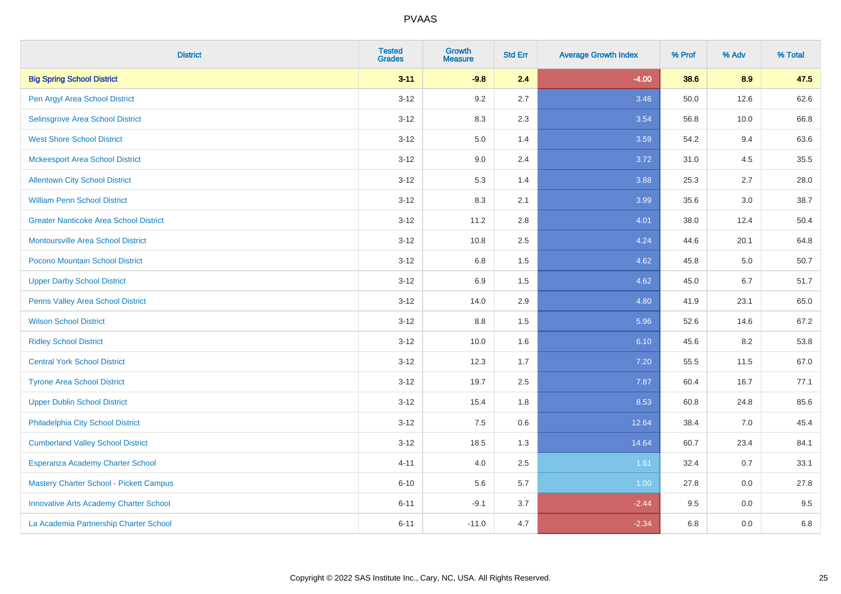| <b>District</b>                               | <b>Tested</b><br><b>Grades</b> | <b>Growth</b><br><b>Measure</b> | <b>Std Err</b> | <b>Average Growth Index</b> | % Prof | % Adv   | % Total |
|-----------------------------------------------|--------------------------------|---------------------------------|----------------|-----------------------------|--------|---------|---------|
| <b>Big Spring School District</b>             | $3 - 11$                       | $-9.8$                          | 2.4            | $-4.00$                     | 38.6   | 8.9     | 47.5    |
| Pen Argyl Area School District                | $3 - 12$                       | 9.2                             | 2.7            | 3.46                        | 50.0   | 12.6    | 62.6    |
| Selinsgrove Area School District              | $3-12$                         | 8.3                             | 2.3            | 3.54                        | 56.8   | 10.0    | 66.8    |
| <b>West Shore School District</b>             | $3 - 12$                       | $5.0\,$                         | 1.4            | 3.59                        | 54.2   | 9.4     | 63.6    |
| <b>Mckeesport Area School District</b>        | $3 - 12$                       | 9.0                             | 2.4            | 3.72                        | 31.0   | 4.5     | 35.5    |
| <b>Allentown City School District</b>         | $3-12$                         | 5.3                             | 1.4            | 3.88                        | 25.3   | 2.7     | 28.0    |
| <b>William Penn School District</b>           | $3 - 12$                       | 8.3                             | 2.1            | 3.99                        | 35.6   | $3.0\,$ | 38.7    |
| <b>Greater Nanticoke Area School District</b> | $3 - 12$                       | 11.2                            | 2.8            | 4.01                        | 38.0   | 12.4    | 50.4    |
| <b>Montoursville Area School District</b>     | $3-12$                         | 10.8                            | 2.5            | 4.24                        | 44.6   | 20.1    | 64.8    |
| Pocono Mountain School District               | $3 - 12$                       | 6.8                             | 1.5            | 4.62                        | 45.8   | 5.0     | 50.7    |
| <b>Upper Darby School District</b>            | $3-12$                         | 6.9                             | 1.5            | 4.62                        | 45.0   | 6.7     | 51.7    |
| Penns Valley Area School District             | $3-12$                         | 14.0                            | 2.9            | 4.80                        | 41.9   | 23.1    | 65.0    |
| <b>Wilson School District</b>                 | $3 - 12$                       | 8.8                             | 1.5            | 5.96                        | 52.6   | 14.6    | 67.2    |
| <b>Ridley School District</b>                 | $3-12$                         | 10.0                            | 1.6            | 6.10                        | 45.6   | 8.2     | 53.8    |
| <b>Central York School District</b>           | $3-12$                         | 12.3                            | 1.7            | 7.20                        | 55.5   | 11.5    | 67.0    |
| <b>Tyrone Area School District</b>            | $3 - 12$                       | 19.7                            | 2.5            | 7.87                        | 60.4   | 16.7    | 77.1    |
| <b>Upper Dublin School District</b>           | $3-12$                         | 15.4                            | 1.8            | 8.53                        | 60.8   | 24.8    | 85.6    |
| Philadelphia City School District             | $3-12$                         | 7.5                             | 0.6            | 12.64                       | 38.4   | 7.0     | 45.4    |
| <b>Cumberland Valley School District</b>      | $3 - 12$                       | 18.5                            | 1.3            | 14.64                       | 60.7   | 23.4    | 84.1    |
| Esperanza Academy Charter School              | $4 - 11$                       | 4.0                             | 2.5            | 1.61                        | 32.4   | 0.7     | 33.1    |
| Mastery Charter School - Pickett Campus       | $6 - 10$                       | 5.6                             | 5.7            | 1.00                        | 27.8   | 0.0     | 27.8    |
| <b>Innovative Arts Academy Charter School</b> | $6 - 11$                       | $-9.1$                          | 3.7            | $-2.44$                     | 9.5    | 0.0     | 9.5     |
| La Academia Partnership Charter School        | $6 - 11$                       | $-11.0$                         | 4.7            | $-2.34$                     | 6.8    | 0.0     | 6.8     |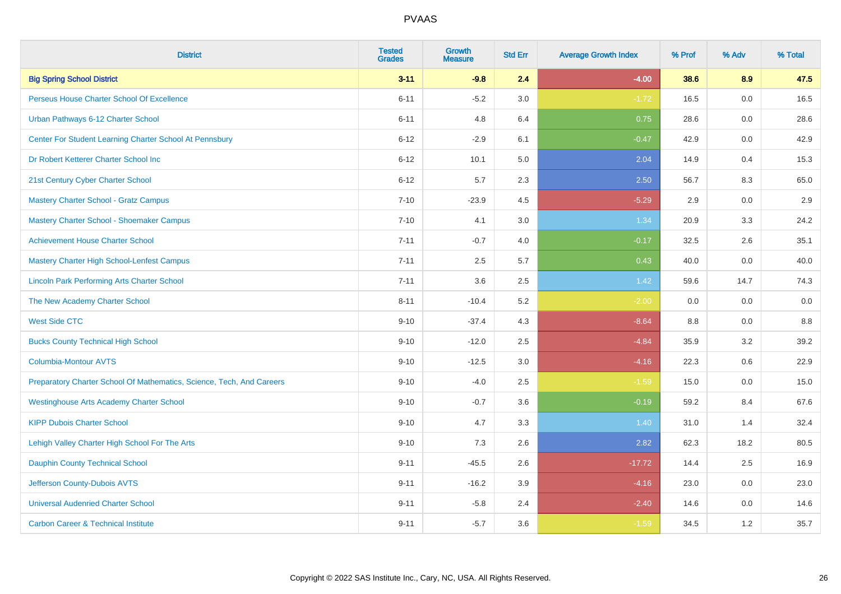| <b>District</b>                                                       | <b>Tested</b><br><b>Grades</b> | Growth<br><b>Measure</b> | <b>Std Err</b> | <b>Average Growth Index</b> | % Prof  | % Adv | % Total |
|-----------------------------------------------------------------------|--------------------------------|--------------------------|----------------|-----------------------------|---------|-------|---------|
| <b>Big Spring School District</b>                                     | $3 - 11$                       | $-9.8$                   | 2.4            | $-4.00$                     | 38.6    | 8.9   | 47.5    |
| Perseus House Charter School Of Excellence                            | $6 - 11$                       | $-5.2$                   | 3.0            | $-1.72$                     | 16.5    | 0.0   | 16.5    |
| Urban Pathways 6-12 Charter School                                    | $6 - 11$                       | 4.8                      | 6.4            | 0.75                        | 28.6    | 0.0   | 28.6    |
| Center For Student Learning Charter School At Pennsbury               | $6 - 12$                       | $-2.9$                   | 6.1            | $-0.47$                     | 42.9    | 0.0   | 42.9    |
| Dr Robert Ketterer Charter School Inc                                 | $6 - 12$                       | 10.1                     | 5.0            | 2.04                        | 14.9    | 0.4   | 15.3    |
| 21st Century Cyber Charter School                                     | $6 - 12$                       | 5.7                      | 2.3            | 2.50                        | 56.7    | 8.3   | 65.0    |
| Mastery Charter School - Gratz Campus                                 | $7 - 10$                       | $-23.9$                  | 4.5            | $-5.29$                     | 2.9     | 0.0   | 2.9     |
| Mastery Charter School - Shoemaker Campus                             | $7 - 10$                       | 4.1                      | 3.0            | 1.34                        | 20.9    | 3.3   | 24.2    |
| <b>Achievement House Charter School</b>                               | $7 - 11$                       | $-0.7$                   | 4.0            | $-0.17$                     | 32.5    | 2.6   | 35.1    |
| Mastery Charter High School-Lenfest Campus                            | $7 - 11$                       | 2.5                      | 5.7            | 0.43                        | 40.0    | 0.0   | 40.0    |
| <b>Lincoln Park Performing Arts Charter School</b>                    | $7 - 11$                       | 3.6                      | 2.5            | 1.42                        | 59.6    | 14.7  | 74.3    |
| The New Academy Charter School                                        | $8 - 11$                       | $-10.4$                  | 5.2            | $-2.00$                     | 0.0     | 0.0   | 0.0     |
| <b>West Side CTC</b>                                                  | $9 - 10$                       | $-37.4$                  | 4.3            | $-8.64$                     | $8.8\,$ | 0.0   | 8.8     |
| <b>Bucks County Technical High School</b>                             | $9 - 10$                       | $-12.0$                  | 2.5            | $-4.84$                     | 35.9    | 3.2   | 39.2    |
| <b>Columbia-Montour AVTS</b>                                          | $9 - 10$                       | $-12.5$                  | 3.0            | $-4.16$                     | 22.3    | 0.6   | 22.9    |
| Preparatory Charter School Of Mathematics, Science, Tech, And Careers | $9 - 10$                       | $-4.0$                   | 2.5            | $-1.59$                     | 15.0    | 0.0   | 15.0    |
| <b>Westinghouse Arts Academy Charter School</b>                       | $9 - 10$                       | $-0.7$                   | 3.6            | $-0.19$                     | 59.2    | 8.4   | 67.6    |
| <b>KIPP Dubois Charter School</b>                                     | $9 - 10$                       | 4.7                      | 3.3            | 1.40                        | 31.0    | 1.4   | 32.4    |
| Lehigh Valley Charter High School For The Arts                        | $9 - 10$                       | $7.3$                    | 2.6            | 2.82                        | 62.3    | 18.2  | 80.5    |
| <b>Dauphin County Technical School</b>                                | $9 - 11$                       | $-45.5$                  | 2.6            | $-17.72$                    | 14.4    | 2.5   | 16.9    |
| Jefferson County-Dubois AVTS                                          | $9 - 11$                       | $-16.2$                  | 3.9            | $-4.16$                     | 23.0    | 0.0   | 23.0    |
| <b>Universal Audenried Charter School</b>                             | $9 - 11$                       | $-5.8$                   | 2.4            | $-2.40$                     | 14.6    | 0.0   | 14.6    |
| <b>Carbon Career &amp; Technical Institute</b>                        | $9 - 11$                       | $-5.7$                   | 3.6            | $-1.59$                     | 34.5    | 1.2   | 35.7    |